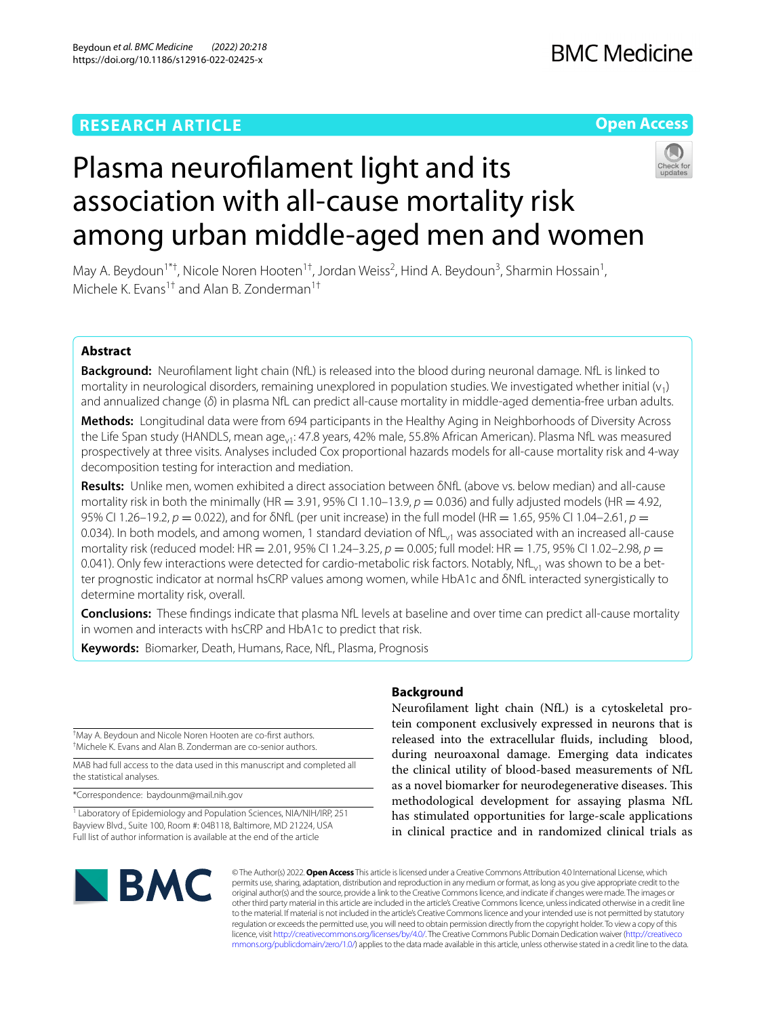# **RESEARCH ARTICLE**

# **Open Access**



# Plasma neuroflament light and its association with all-cause mortality risk among urban middle-aged men and women

May A. Beydoun<sup>1\*†</sup>, Nicole Noren Hooten<sup>1†</sup>, Jordan Weiss<sup>2</sup>, Hind A. Beydoun<sup>3</sup>, Sharmin Hossain<sup>1</sup>, Michele K. Evans<sup>1†</sup> and Alan B. Zonderman<sup>1†</sup>

# **Abstract**

**Background:** Neuroflament light chain (NfL) is released into the blood during neuronal damage. NfL is linked to mortality in neurological disorders, remaining unexplored in population studies. We investigated whether initial  $(v_1)$ and annualized change (*δ*) in plasma NfL can predict all-cause mortality in middle-aged dementia-free urban adults.

**Methods:** Longitudinal data were from 694 participants in the Healthy Aging in Neighborhoods of Diversity Across the Life Span study (HANDLS, mean age<sub>vi</sub>: 47.8 years, 42% male, 55.8% African American). Plasma NfL was measured prospectively at three visits. Analyses included Cox proportional hazards models for all-cause mortality risk and 4-way decomposition testing for interaction and mediation.

**Results:** Unlike men, women exhibited a direct association between δNfL (above vs. below median) and all-cause mortality risk in both the minimally (HR = 3.91, 95% CI 1.10–13.9,  $p = 0.036$ ) and fully adjusted models (HR = 4.92, 95% CI 1.26–19.2, *p* = 0.022), and for δNfL (per unit increase) in the full model (HR = 1.65, 95% CI 1.04–2.61, *p* = 0.034). In both models, and among women, 1 standard deviation of  $NfL_{v1}$  was associated with an increased all-cause mortality risk (reduced model: HR = 2.01, 95% CI 1.24–3.25, *p* = 0.005; full model: HR = 1.75, 95% CI 1.02–2.98, *p* = 0.041). Only few interactions were detected for cardio-metabolic risk factors. Notably, NfL $_{\rm v1}$  was shown to be a better prognostic indicator at normal hsCRP values among women, while HbA1c and δNfL interacted synergistically to determine mortality risk, overall.

**Conclusions:** These fndings indicate that plasma NfL levels at baseline and over time can predict all-cause mortality in women and interacts with hsCRP and HbA1c to predict that risk.

**Keywords:** Biomarker, Death, Humans, Race, NfL, Plasma, Prognosis

† May A. Beydoun and Nicole Noren Hooten are co-frst authors. † Michele K. Evans and Alan B. Zonderman are co-senior authors.

MAB had full access to the data used in this manuscript and completed all the statistical analyses.

\*Correspondence: baydounm@mail.nih.gov

<sup>1</sup> Laboratory of Epidemiology and Population Sciences, NIA/NIH/IRP, 251 Bayview Blvd., Suite 100, Boom #: 04B118, Baltimore, MD 21224, USA Full list of author information is available at the end of the article

# **Background**

Neuroflament light chain (NfL) is a cytoskeletal protein component exclusively expressed in neurons that is released into the extracellular fuids, including blood, during neuroaxonal damage. Emerging data indicates the clinical utility of blood-based measurements of NfL as a novel biomarker for neurodegenerative diseases. This methodological development for assaying plasma NfL has stimulated opportunities for large-scale applications in clinical practice and in randomized clinical trials as



© The Author(s) 2022. **Open Access** This article is licensed under a Creative Commons Attribution 4.0 International License, which permits use, sharing, adaptation, distribution and reproduction in any medium or format, as long as you give appropriate credit to the original author(s) and the source, provide a link to the Creative Commons licence, and indicate if changes were made. The images or other third party material in this article are included in the article's Creative Commons licence, unless indicated otherwise in a credit line to the material. If material is not included in the article's Creative Commons licence and your intended use is not permitted by statutory regulation or exceeds the permitted use, you will need to obtain permission directly from the copyright holder. To view a copy of this licence, visit [http://creativecommons.org/licenses/by/4.0/.](http://creativecommons.org/licenses/by/4.0/) The Creative Commons Public Domain Dedication waiver ([http://creativeco](http://creativecommons.org/publicdomain/zero/1.0/) [mmons.org/publicdomain/zero/1.0/](http://creativecommons.org/publicdomain/zero/1.0/)) applies to the data made available in this article, unless otherwise stated in a credit line to the data.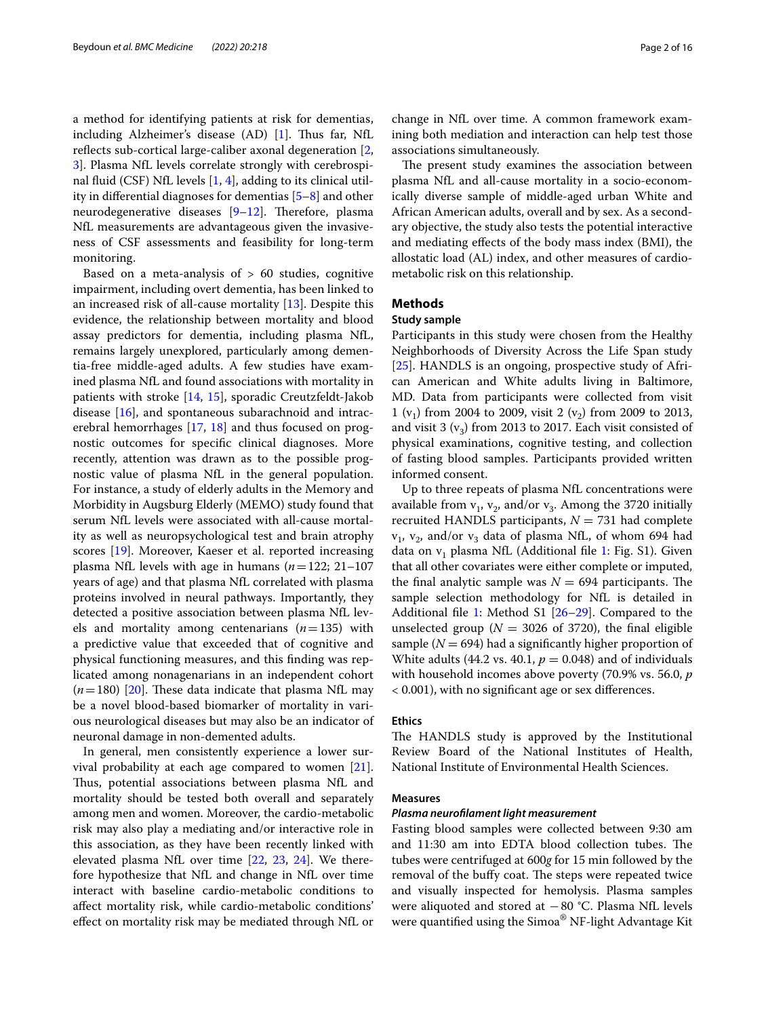a method for identifying patients at risk for dementias, including Alzheimer's disease  $(AD)$  [\[1](#page-14-0)]. Thus far, NfL reflects sub-cortical large-caliber axonal degeneration [\[2](#page-14-1), [3\]](#page-14-2). Plasma NfL levels correlate strongly with cerebrospinal fuid (CSF) NfL levels [[1](#page-14-0), [4](#page-14-3)], adding to its clinical utility in diferential diagnoses for dementias [\[5–](#page-14-4)[8\]](#page-14-5) and other neurodegenerative diseases  $[9-12]$  $[9-12]$ . Therefore, plasma NfL measurements are advantageous given the invasiveness of CSF assessments and feasibility for long-term monitoring.

Based on a meta-analysis of  $> 60$  studies, cognitive impairment, including overt dementia, has been linked to an increased risk of all-cause mortality [\[13](#page-14-8)]. Despite this evidence, the relationship between mortality and blood assay predictors for dementia, including plasma NfL, remains largely unexplored, particularly among dementia-free middle-aged adults. A few studies have examined plasma NfL and found associations with mortality in patients with stroke [[14,](#page-14-9) [15](#page-14-10)], sporadic Creutzfeldt-Jakob disease [[16\]](#page-14-11), and spontaneous subarachnoid and intracerebral hemorrhages [\[17](#page-14-12), [18\]](#page-14-13) and thus focused on prognostic outcomes for specifc clinical diagnoses. More recently, attention was drawn as to the possible prognostic value of plasma NfL in the general population. For instance, a study of elderly adults in the Memory and Morbidity in Augsburg Elderly (MEMO) study found that serum NfL levels were associated with all-cause mortality as well as neuropsychological test and brain atrophy scores [[19\]](#page-14-14). Moreover, Kaeser et al. reported increasing plasma NfL levels with age in humans (*n*=122; 21–107 years of age) and that plasma NfL correlated with plasma proteins involved in neural pathways. Importantly, they detected a positive association between plasma NfL levels and mortality among centenarians (*n*=135) with a predictive value that exceeded that of cognitive and physical functioning measures, and this fnding was replicated among nonagenarians in an independent cohort  $(n=180)$  [[20\]](#page-14-15). These data indicate that plasma NfL may be a novel blood-based biomarker of mortality in various neurological diseases but may also be an indicator of neuronal damage in non-demented adults.

In general, men consistently experience a lower survival probability at each age compared to women [\[21](#page-14-16)]. Thus, potential associations between plasma NfL and mortality should be tested both overall and separately among men and women. Moreover, the cardio-metabolic risk may also play a mediating and/or interactive role in this association, as they have been recently linked with elevated plasma NfL over time [[22,](#page-14-17) [23,](#page-14-18) [24](#page-14-19)]. We therefore hypothesize that NfL and change in NfL over time interact with baseline cardio-metabolic conditions to afect mortality risk, while cardio-metabolic conditions' efect on mortality risk may be mediated through NfL or change in NfL over time. A common framework examining both mediation and interaction can help test those associations simultaneously.

The present study examines the association between plasma NfL and all-cause mortality in a socio-economically diverse sample of middle-aged urban White and African American adults, overall and by sex. As a secondary objective, the study also tests the potential interactive and mediating efects of the body mass index (BMI), the allostatic load (AL) index, and other measures of cardiometabolic risk on this relationship.

# <span id="page-1-0"></span>**Methods**

# **Study sample**

Participants in this study were chosen from the Healthy Neighborhoods of Diversity Across the Life Span study [[25\]](#page-14-20). HANDLS is an ongoing, prospective study of African American and White adults living in Baltimore, MD. Data from participants were collected from visit 1 (v<sub>1</sub>) from 2004 to 2009, visit 2 (v<sub>2</sub>) from 2009 to 2013, and visit 3  $(v_3)$  from 2013 to 2017. Each visit consisted of physical examinations, cognitive testing, and collection of fasting blood samples. Participants provided written informed consent.

Up to three repeats of plasma NfL concentrations were available from  $v_1$ ,  $v_2$ , and/or  $v_3$ . Among the 3720 initially recruited HANDLS participants,  $N = 731$  had complete  $v_1$ ,  $v_2$ , and/or  $v_3$  data of plasma NfL, of whom 694 had data on  $v_1$  $v_1$  plasma NfL (Additional file 1: Fig. S1). Given that all other covariates were either complete or imputed, the final analytic sample was  $N = 694$  participants. The sample selection methodology for NfL is detailed in Additional fle [1:](#page-13-0) Method S1 [[26–](#page-14-21)[29](#page-14-22)]. Compared to the unselected group ( $N = 3026$  of 3720), the final eligible sample  $(N = 694)$  had a significantly higher proportion of White adults (44.2 vs. 40.1,  $p = 0.048$ ) and of individuals with household incomes above poverty (70.9% vs. 56.0, *p* < 0.001), with no signifcant age or sex diferences.

## **Ethics**

The HANDLS study is approved by the Institutional Review Board of the National Institutes of Health, National Institute of Environmental Health Sciences.

# **Measures**

### *Plasma neuroflament light measurement*

Fasting blood samples were collected between 9:30 am and 11:30 am into EDTA blood collection tubes. The tubes were centrifuged at 600*g* for 15 min followed by the removal of the buffy coat. The steps were repeated twice and visually inspected for hemolysis. Plasma samples were aliquoted and stored at −80 °C. Plasma NfL levels were quantifed using the Simoa® NF-light Advantage Kit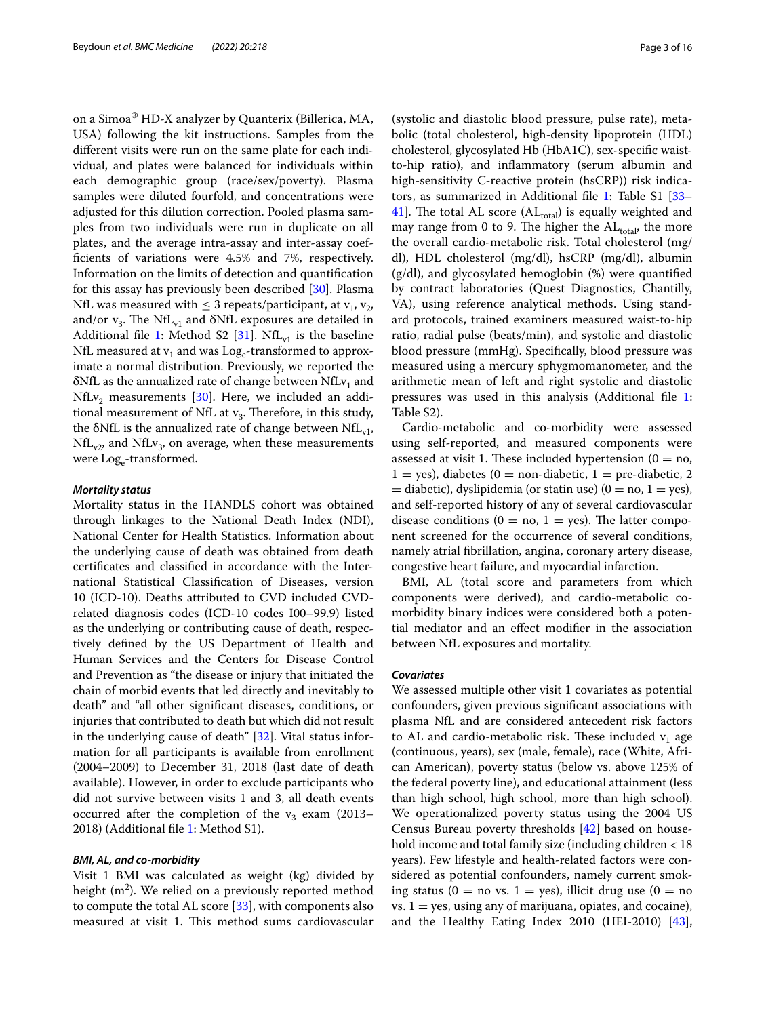on a Simoa® HD-X analyzer by Quanterix (Billerica, MA, USA) following the kit instructions. Samples from the diferent visits were run on the same plate for each individual, and plates were balanced for individuals within each demographic group (race/sex/poverty). Plasma samples were diluted fourfold, and concentrations were adjusted for this dilution correction. Pooled plasma samples from two individuals were run in duplicate on all plates, and the average intra-assay and inter-assay coeffcients of variations were 4.5% and 7%, respectively. Information on the limits of detection and quantifcation for this assay has previously been described [\[30](#page-14-23)]. Plasma NfL was measured with  $\leq$  3 repeats/participant, at  $v_1$ ,  $v_2$ , and/or  $v_3$ . The NfL<sub>v1</sub> and  $\delta$ NfL exposures are detailed in Additional file [1](#page-13-0): Method S2 [[31\]](#page-15-0). NfL $_{v1}$  is the baseline NfL measured at  $v_1$  and was Log<sub>e</sub>-transformed to approximate a normal distribution. Previously, we reported the  $\delta$ NfL as the annualized rate of change between NfL $v_1$  and  $NfLv_2$  measurements [\[30](#page-14-23)]. Here, we included an additional measurement of NfL at  $v_3$ . Therefore, in this study, the  $\delta$ NfL is the annualized rate of change between NfL<sub>v1</sub>,  $NfL_{v2}$ , and  $NfLv_3$ , on average, when these measurements were Log<sub>e</sub>-transformed.

# *Mortality status*

Mortality status in the HANDLS cohort was obtained through linkages to the National Death Index (NDI), National Center for Health Statistics. Information about the underlying cause of death was obtained from death certifcates and classifed in accordance with the International Statistical Classifcation of Diseases, version 10 (ICD-10). Deaths attributed to CVD included CVDrelated diagnosis codes (ICD-10 codes I00–99.9) listed as the underlying or contributing cause of death, respectively defned by the US Department of Health and Human Services and the Centers for Disease Control and Prevention as "the disease or injury that initiated the chain of morbid events that led directly and inevitably to death" and "all other signifcant diseases, conditions, or injuries that contributed to death but which did not result in the underlying cause of death" [[32\]](#page-15-1). Vital status information for all participants is available from enrollment (2004–2009) to December 31, 2018 (last date of death available). However, in order to exclude participants who did not survive between visits 1 and 3, all death events occurred after the completion of the  $v_3$  exam (2013– 2018) (Additional fle [1:](#page-13-0) Method S1).

# *BMI, AL, and co‑morbidity*

Visit 1 BMI was calculated as weight (kg) divided by height (m $^2$ ). We relied on a previously reported method to compute the total AL score [\[33](#page-15-2)], with components also measured at visit 1. This method sums cardiovascular

(systolic and diastolic blood pressure, pulse rate), metabolic (total cholesterol, high-density lipoprotein (HDL) cholesterol, glycosylated Hb (HbA1C), sex-specifc waistto-hip ratio), and infammatory (serum albumin and high-sensitivity C-reactive protein (hsCRP)) risk indicators, as summarized in Additional fle [1:](#page-13-0) Table S1 [[33–](#page-15-2) [41\]](#page-15-3). The total AL score  $(AL<sub>total</sub>)$  is equally weighted and may range from 0 to 9. The higher the  $AL_{total}$ , the more the overall cardio-metabolic risk. Total cholesterol (mg/ dl), HDL cholesterol (mg/dl), hsCRP (mg/dl), albumin (g/dl), and glycosylated hemoglobin (%) were quantifed by contract laboratories (Quest Diagnostics, Chantilly, VA), using reference analytical methods. Using standard protocols, trained examiners measured waist-to-hip ratio, radial pulse (beats/min), and systolic and diastolic blood pressure (mmHg). Specifcally, blood pressure was measured using a mercury sphygmomanometer, and the arithmetic mean of left and right systolic and diastolic pressures was used in this analysis (Additional fle [1](#page-13-0): Table S2).

Cardio-metabolic and co-morbidity were assessed using self-reported, and measured components were assessed at visit 1. These included hypertension ( $0 = no$ ,  $1 = yes$ ), diabetes (0 = non-diabetic, 1 = pre-diabetic, 2  $=$  diabetic), dyslipidemia (or statin use) (0 = no, 1 = yes), and self-reported history of any of several cardiovascular disease conditions ( $0 = no$ ,  $1 = yes$ ). The latter component screened for the occurrence of several conditions, namely atrial fbrillation, angina, coronary artery disease, congestive heart failure, and myocardial infarction.

BMI, AL (total score and parameters from which components were derived), and cardio-metabolic comorbidity binary indices were considered both a potential mediator and an efect modifer in the association between NfL exposures and mortality.

# <span id="page-2-0"></span>*Covariates*

We assessed multiple other visit 1 covariates as potential confounders, given previous signifcant associations with plasma NfL and are considered antecedent risk factors to AL and cardio-metabolic risk. These included  $v_1$  age (continuous, years), sex (male, female), race (White, African American), poverty status (below vs. above 125% of the federal poverty line), and educational attainment (less than high school, high school, more than high school). We operationalized poverty status using the 2004 US Census Bureau poverty thresholds [[42\]](#page-15-4) based on household income and total family size (including children < 18 years). Few lifestyle and health-related factors were considered as potential confounders, namely current smoking status (0 = no vs. 1 = yes), illicit drug use (0 = no  $vs. 1 = yes$ , using any of marijuana, opiates, and cocaine), and the Healthy Eating Index 2010 (HEI-2010) [\[43](#page-15-5)],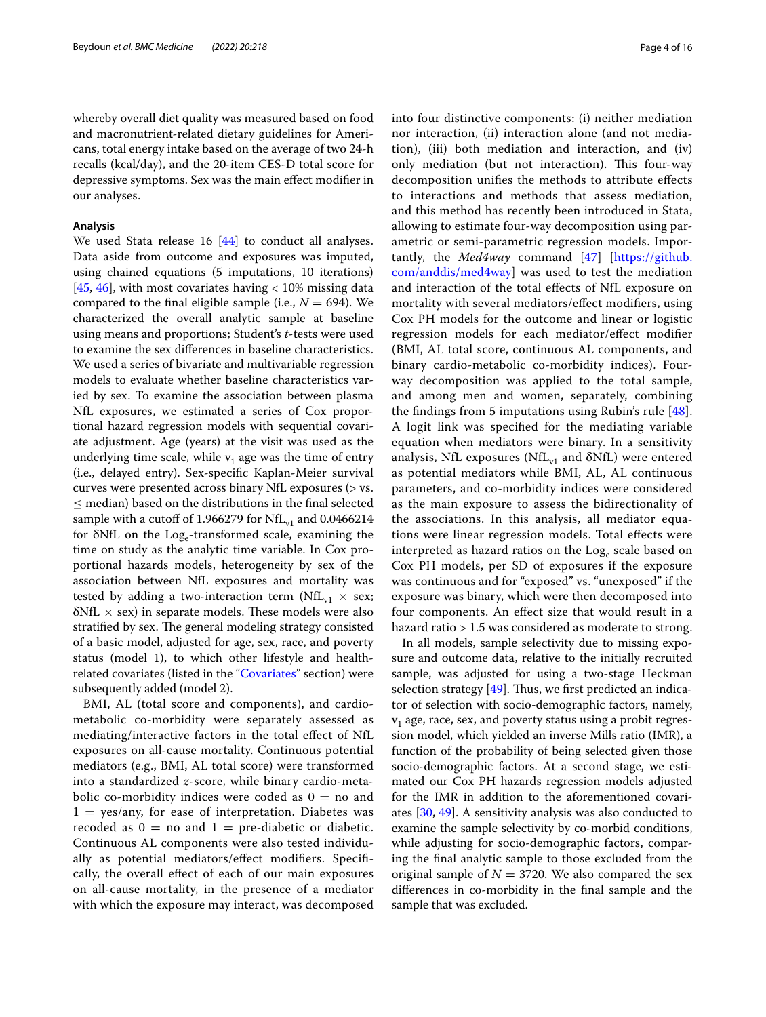whereby overall diet quality was measured based on food and macronutrient-related dietary guidelines for Americans, total energy intake based on the average of two 24-h recalls (kcal/day), and the 20-item CES-D total score for depressive symptoms. Sex was the main efect modifer in our analyses.

#### **Analysis**

We used Stata release 16 [[44\]](#page-15-6) to conduct all analyses. Data aside from outcome and exposures was imputed, using chained equations (5 imputations, 10 iterations) [[45,](#page-15-7) [46\]](#page-15-8), with most covariates having  $< 10\%$  missing data compared to the final eligible sample (i.e.,  $N = 694$ ). We characterized the overall analytic sample at baseline using means and proportions; Student's *t*-tests were used to examine the sex diferences in baseline characteristics. We used a series of bivariate and multivariable regression models to evaluate whether baseline characteristics varied by sex. To examine the association between plasma NfL exposures, we estimated a series of Cox proportional hazard regression models with sequential covariate adjustment. Age (years) at the visit was used as the underlying time scale, while  $v_1$  age was the time of entry (i.e., delayed entry). Sex-specifc Kaplan-Meier survival curves were presented across binary NfL exposures (> vs.  $\leq$  median) based on the distributions in the final selected sample with a cutoff of 1.966279 for  $NfL_{v1}$  and 0.0466214 for  $\delta$ NfL on the Log<sub>e</sub>-transformed scale, examining the time on study as the analytic time variable. In Cox proportional hazards models, heterogeneity by sex of the association between NfL exposures and mortality was tested by adding a two-interaction term ( $\text{NfL}_{\text{v1}} \times$  sex;  $\delta$ NfL  $\times$  sex) in separate models. These models were also stratified by sex. The general modeling strategy consisted of a basic model, adjusted for age, sex, race, and poverty status (model 1), to which other lifestyle and healthrelated covariates (listed in the ["Covariates](#page-2-0)" section) were subsequently added (model 2).

BMI, AL (total score and components), and cardiometabolic co-morbidity were separately assessed as mediating/interactive factors in the total efect of NfL exposures on all-cause mortality. Continuous potential mediators (e.g., BMI, AL total score) were transformed into a standardized *z*-score, while binary cardio-metabolic co-morbidity indices were coded as  $0 =$  no and  $1 = yes/any$ , for ease of interpretation. Diabetes was recoded as  $0 =$  no and  $1 =$  pre-diabetic or diabetic. Continuous AL components were also tested individually as potential mediators/efect modifers. Specifcally, the overall efect of each of our main exposures on all-cause mortality, in the presence of a mediator with which the exposure may interact, was decomposed into four distinctive components: (i) neither mediation nor interaction, (ii) interaction alone (and not mediation), (iii) both mediation and interaction, and (iv) only mediation (but not interaction). This four-way decomposition unifes the methods to attribute efects to interactions and methods that assess mediation, and this method has recently been introduced in Stata, allowing to estimate four-way decomposition using parametric or semi-parametric regression models. Importantly, the *Med4way* command [[47\]](#page-15-9) [[https://github.](https://github.com/anddis/med4way) [com/anddis/med4way\]](https://github.com/anddis/med4way) was used to test the mediation and interaction of the total efects of NfL exposure on mortality with several mediators/efect modifers, using Cox PH models for the outcome and linear or logistic regression models for each mediator/efect modifer (BMI, AL total score, continuous AL components, and binary cardio-metabolic co-morbidity indices). Fourway decomposition was applied to the total sample, and among men and women, separately, combining the fndings from 5 imputations using Rubin's rule [[48](#page-15-10)]. A logit link was specifed for the mediating variable equation when mediators were binary. In a sensitivity analysis, NfL exposures (NfL $_{v1}$  and  $\delta$ NfL) were entered as potential mediators while BMI, AL, AL continuous parameters, and co-morbidity indices were considered as the main exposure to assess the bidirectionality of the associations. In this analysis, all mediator equations were linear regression models. Total efects were interpreted as hazard ratios on the Log<sub>e</sub> scale based on Cox PH models, per SD of exposures if the exposure was continuous and for "exposed" vs. "unexposed" if the exposure was binary, which were then decomposed into four components. An efect size that would result in a hazard ratio > 1.5 was considered as moderate to strong.

In all models, sample selectivity due to missing exposure and outcome data, relative to the initially recruited sample, was adjusted for using a two-stage Heckman selection strategy  $[49]$  $[49]$ . Thus, we first predicted an indicator of selection with socio-demographic factors, namely,  $v_1$  age, race, sex, and poverty status using a probit regression model, which yielded an inverse Mills ratio (IMR), a function of the probability of being selected given those socio-demographic factors. At a second stage, we estimated our Cox PH hazards regression models adjusted for the IMR in addition to the aforementioned covariates [[30](#page-14-23), [49](#page-15-11)]. A sensitivity analysis was also conducted to examine the sample selectivity by co-morbid conditions, while adjusting for socio-demographic factors, comparing the fnal analytic sample to those excluded from the original sample of  $N = 3720$ . We also compared the sex diferences in co-morbidity in the fnal sample and the sample that was excluded.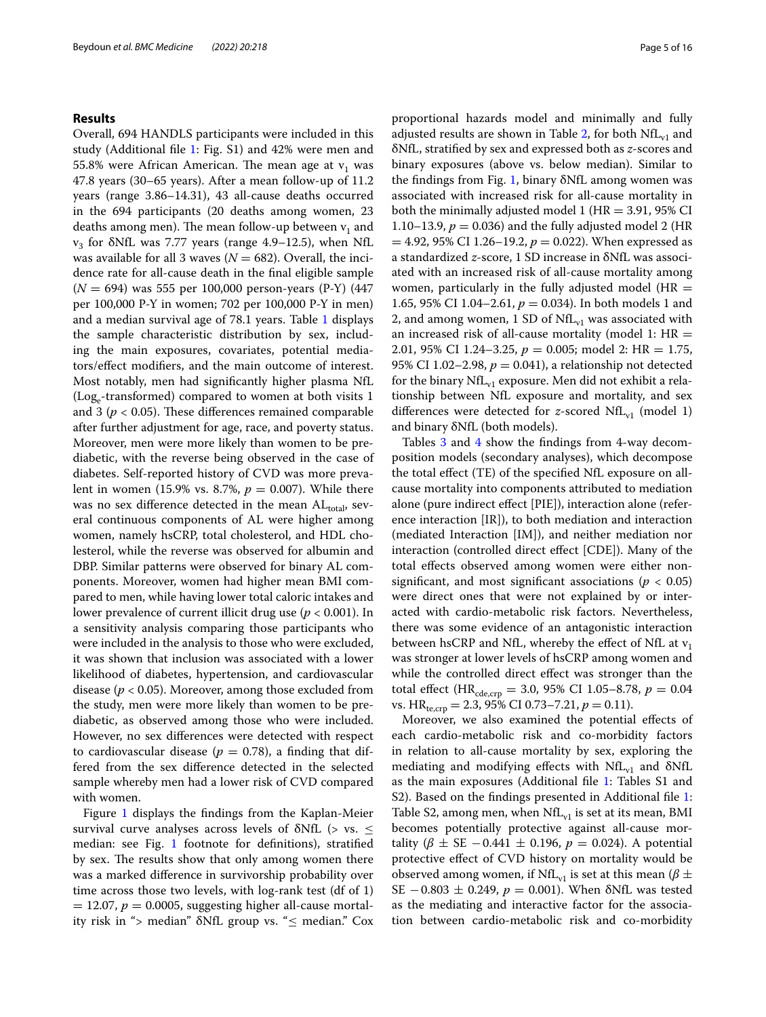# **Results**

Overall, 694 HANDLS participants were included in this study (Additional fle [1:](#page-13-0) Fig. S1) and 42% were men and 55.8% were African American. The mean age at  $v_1$  was 47.8 years (30–65 years). After a mean follow-up of 11.2 years (range 3.86–14.31), 43 all-cause deaths occurred in the 694 participants (20 deaths among women, 23 deaths among men). The mean follow-up between  $v_1$  and  $v_3$  for  $\delta$ NfL was 7.77 years (range 4.9–12.5), when NfL was available for all 3 waves ( $N = 682$ ). Overall, the incidence rate for all-cause death in the fnal eligible sample (*N* = 694) was 555 per 100,000 person-years (P-Y) (447 per 100,000 P-Y in women; 702 per 100,000 P-Y in men) and a median survival age of 78.1 years. Table [1](#page-5-0) displays the sample characteristic distribution by sex, including the main exposures, covariates, potential mediators/efect modifers, and the main outcome of interest. Most notably, men had signifcantly higher plasma NfL (Log<sub>e</sub>-transformed) compared to women at both visits 1 and 3 ( $p < 0.05$ ). These differences remained comparable after further adjustment for age, race, and poverty status. Moreover, men were more likely than women to be prediabetic, with the reverse being observed in the case of diabetes. Self-reported history of CVD was more prevalent in women (15.9% vs. 8.7%, *p* = 0.007). While there was no sex difference detected in the mean ALtotal, several continuous components of AL were higher among women, namely hsCRP, total cholesterol, and HDL cholesterol, while the reverse was observed for albumin and DBP. Similar patterns were observed for binary AL components. Moreover, women had higher mean BMI compared to men, while having lower total caloric intakes and lower prevalence of current illicit drug use (*p* < 0.001). In a sensitivity analysis comparing those participants who were included in the analysis to those who were excluded, it was shown that inclusion was associated with a lower likelihood of diabetes, hypertension, and cardiovascular disease (*p* < 0.05). Moreover, among those excluded from the study, men were more likely than women to be prediabetic, as observed among those who were included. However, no sex diferences were detected with respect to cardiovascular disease ( $p = 0.78$ ), a finding that differed from the sex diference detected in the selected sample whereby men had a lower risk of CVD compared with women.

Figure [1](#page-6-0) displays the findings from the Kaplan-Meier survival curve analyses across levels of  $\delta$ NfL (> vs.  $\leq$ median: see Fig. [1](#page-6-0) footnote for defnitions), stratifed by sex. The results show that only among women there was a marked diference in survivorship probability over time across those two levels, with log-rank test (df of 1)  $= 12.07, p = 0.0005$ , suggesting higher all-cause mortality risk in "> median" δNfL group vs. "≤ median." Cox proportional hazards model and minimally and fully adjusted results are shown in Table [2,](#page-7-0) for both  $\text{NfL}_{\text{v1}}$  and δNfL, stratifed by sex and expressed both as *z*-scores and binary exposures (above vs. below median). Similar to the fndings from Fig. [1,](#page-6-0) binary δNfL among women was associated with increased risk for all-cause mortality in both the minimally adjusted model 1 ( $HR = 3.91$ , 95% CI 1.10–13.9,  $p = 0.036$ ) and the fully adjusted model 2 (HR  $= 4.92, 95\% \text{ CI } 1.26 - 19.2, p = 0.022$ . When expressed as a standardized *z*-score, 1 SD increase in δNfL was associated with an increased risk of all-cause mortality among women, particularly in the fully adjusted model ( $HR =$ 1.65, 95% CI 1.04–2.61,  $p = 0.034$ ). In both models 1 and 2, and among women, 1 SD of  $\text{NfL}_{v1}$  was associated with an increased risk of all-cause mortality (model 1:  $HR =$ 2.01, 95% CI 1.24–3.25, *p* = 0.005; model 2: HR = 1.75, 95% CI 1.02–2.98,  $p = 0.041$ ), a relationship not detected for the binary  $NfL_{v1}$  exposure. Men did not exhibit a relationship between NfL exposure and mortality, and sex differences were detected for *z*-scored NfL $_{v1}$  (model 1) and binary δNfL (both models).

Tables [3](#page-8-0) and [4](#page-10-0) show the findings from 4-way decomposition models (secondary analyses), which decompose the total efect (TE) of the specifed NfL exposure on allcause mortality into components attributed to mediation alone (pure indirect effect [PIE]), interaction alone (reference interaction [IR]), to both mediation and interaction (mediated Interaction [IM]), and neither mediation nor interaction (controlled direct efect [CDE]). Many of the total efects observed among women were either nonsignificant, and most significant associations ( $p < 0.05$ ) were direct ones that were not explained by or interacted with cardio-metabolic risk factors. Nevertheless, there was some evidence of an antagonistic interaction between hsCRP and NfL, whereby the effect of NfL at  $v_1$ was stronger at lower levels of hsCRP among women and while the controlled direct efect was stronger than the total effect (HR<sub>cde,crp</sub> = 3.0, 95% CI 1.05–8.78,  $p = 0.04$ vs. HR<sub>te,crp</sub> = 2.3, 95% CI 0.73–7.21,  $p = 0.11$ ).

Moreover, we also examined the potential efects of each cardio-metabolic risk and co-morbidity factors in relation to all-cause mortality by sex, exploring the mediating and modifying effects with  $NfL_{v1}$  and  $\delta NfL$ as the main exposures (Additional fle [1](#page-13-0): Tables S1 and S2). Based on the findings presented in Additional file [1](#page-13-0): Table S2, among men, when  $NfL_{v1}$  is set at its mean, BMI becomes potentially protective against all-cause mortality ( $\beta \pm SE - 0.441 \pm 0.196$ ,  $p = 0.024$ ). A potential protective efect of CVD history on mortality would be observed among women, if NfL<sub>v1</sub> is set at this mean ( $\beta \pm$ SE −0.803 ± 0.249, *p* = 0.001). When δNfL was tested as the mediating and interactive factor for the association between cardio-metabolic risk and co-morbidity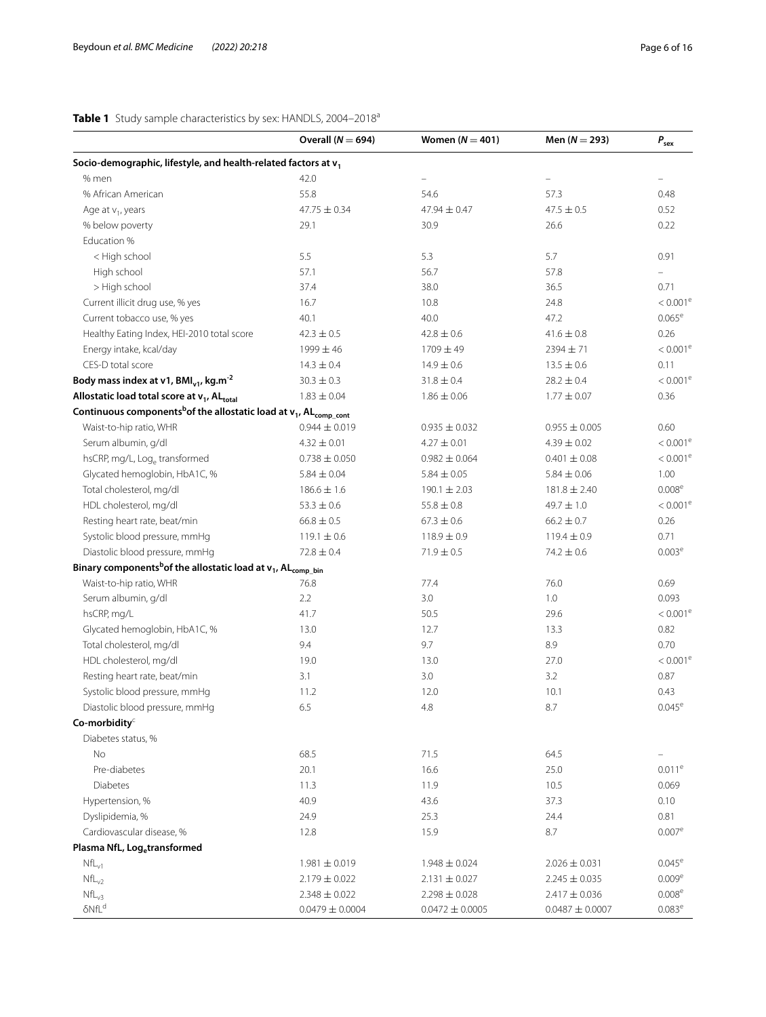<span id="page-5-0"></span>

|                                                                                              | Overall ( $N = 694$ ) | Women $(N = 401)$   | Men $(N = 293)$     | $P_{\text{sex}}$       |
|----------------------------------------------------------------------------------------------|-----------------------|---------------------|---------------------|------------------------|
| Socio-demographic, lifestyle, and health-related factors at v <sub>1</sub>                   |                       |                     |                     |                        |
| % men                                                                                        | 42.0                  |                     |                     |                        |
| % African American                                                                           | 55.8                  | 54.6                | 57.3                | 0.48                   |
| Age at $v_1$ , years                                                                         | $47.75 \pm 0.34$      | 47.94 $\pm$ 0.47    | $47.5 \pm 0.5$      | 0.52                   |
| % below poverty                                                                              | 29.1                  | 30.9                | 26.6                | 0.22                   |
| Education %                                                                                  |                       |                     |                     |                        |
| < High school                                                                                | 5.5                   | 5.3                 | 5.7                 | 0.91                   |
| High school                                                                                  | 57.1                  | 56.7                | 57.8                |                        |
| > High school                                                                                | 37.4                  | 38.0                | 36.5                | 0.71                   |
| Current illicit drug use, % yes                                                              | 16.7                  | 10.8                | 24.8                | $< 0.001^e$            |
| Current tobacco use, % yes                                                                   | 40.1                  | 40.0                | 47.2                | $0.065^{\rm e}$        |
| Healthy Eating Index, HEI-2010 total score                                                   | $42.3 \pm 0.5$        | $42.8 \pm 0.6$      | $41.6 \pm 0.8$      | 0.26                   |
| Energy intake, kcal/day                                                                      | $1999 \pm 46$         | $1709 \pm 49$       | 2394 ± 71           | $< 0.001$ <sup>e</sup> |
| CES-D total score                                                                            | $14.3 \pm 0.4$        | $14.9 \pm 0.6$      | $13.5 \pm 0.6$      | 0.11                   |
| Body mass index at v1, $BMI_{v1}$ , kg.m <sup>-2</sup>                                       | $30.3 \pm 0.3$        | $31.8 \pm 0.4$      | $28.2 \pm 0.4$      | $< 0.001^{\rm e}$      |
| Allostatic load total score at v <sub>1</sub> , AL <sub>total</sub>                          | $1.83 \pm 0.04$       | $1.86 \pm 0.06$     | $1.77 \pm 0.07$     | 0.36                   |
| Continuous components <sup>b</sup> of the allostatic load at $v_1$ , AL <sub>comp_cont</sub> |                       |                     |                     |                        |
| Waist-to-hip ratio, WHR                                                                      | $0.944 \pm 0.019$     | $0.935 \pm 0.032$   | $0.955 \pm 0.005$   | 0.60                   |
| Serum albumin, g/dl                                                                          | $4.32 \pm 0.01$       | $4.27 \pm 0.01$     | $4.39 \pm 0.02$     | $< 0.001^e$            |
| hsCRP, mg/L, Log <sub>e</sub> transformed                                                    | $0.738 \pm 0.050$     | $0.982 \pm 0.064$   | $0.401 \pm 0.08$    | $< 0.001^e$            |
| Glycated hemoglobin, HbA1C, %                                                                | $5.84 \pm 0.04$       | $5.84 \pm 0.05$     | $5.84 \pm 0.06$     | 1.00                   |
| Total cholesterol, mg/dl                                                                     | $186.6 \pm 1.6$       | $190.1 \pm 2.03$    | $181.8 \pm 2.40$    | $0.008^{\rm e}$        |
| HDL cholesterol, mg/dl                                                                       | $53.3 \pm 0.6$        | $55.8 \pm 0.8$      | $49.7 \pm 1.0$      | $< 0.001^e$            |
| Resting heart rate, beat/min                                                                 | $66.8 \pm 0.5$        | $67.3 \pm 0.6$      | $66.2 \pm 0.7$      | 0.26                   |
| Systolic blood pressure, mmHg                                                                | $119.1 \pm 0.6$       | $118.9 \pm 0.9$     | $119.4 \pm 0.9$     | 0.71                   |
| Diastolic blood pressure, mmHg                                                               | $72.8 \pm 0.4$        | $71.9 \pm 0.5$      | $74.2 \pm 0.6$      | 0.003 <sup>e</sup>     |
| Binary components <sup>b</sup> of the allostatic load at $v_1$ , AL <sub>comp_bin</sub>      |                       |                     |                     |                        |
| Waist-to-hip ratio, WHR                                                                      | 76.8                  | 77.4                | 76.0                | 0.69                   |
| Serum albumin, g/dl                                                                          | 2.2                   | 3.0                 | 1.0                 | 0.093                  |
| hsCRP, mg/L                                                                                  | 41.7                  | 50.5                | 29.6                | $< 0.001^e$            |
| Glycated hemoglobin, HbA1C, %                                                                | 13.0                  | 12.7                | 13.3                | 0.82                   |
| Total cholesterol, mg/dl                                                                     | 9.4                   | 9.7                 | 8.9                 | 0.70                   |
| HDL cholesterol, mg/dl                                                                       | 19.0                  | 13.0                | 27.0                | $< 0.001^{\rm e}$      |
| Resting heart rate, beat/min                                                                 | 3.1                   | 3.0                 | 3.2                 | 0.87                   |
| Systolic blood pressure, mmHg                                                                | 11.2                  | 12.0                | 10.1                | 0.43                   |
| Diastolic blood pressure, mmHg                                                               | 6.5                   | 4.8                 | 8.7                 | $0.045^{\rm e}$        |
| Co-morbidity <sup>c</sup>                                                                    |                       |                     |                     |                        |
| Diabetes status, %                                                                           |                       |                     |                     |                        |
| No                                                                                           | 68.5                  | 71.5                | 64.5                |                        |
| Pre-diabetes                                                                                 | 20.1                  | 16.6                | 25.0                | $0.011$ <sup>e</sup>   |
| <b>Diabetes</b>                                                                              | 11.3                  | 11.9                | 10.5                | 0.069                  |
| Hypertension, %                                                                              | 40.9                  | 43.6                | 37.3                | 0.10                   |
| Dyslipidemia, %                                                                              | 24.9                  | 25.3                | 24.4                | 0.81                   |
| Cardiovascular disease, %                                                                    | 12.8                  | 15.9                | 8.7                 | $0.007^{\rm e}$        |
| Plasma NfL, Log <sub>e</sub> transformed                                                     |                       |                     |                     |                        |
| $NfL_{v1}$                                                                                   | $1.981 \pm 0.019$     | $1.948 \pm 0.024$   | $2.026 \pm 0.031$   | $0.045^{\rm e}$        |
| $NfL_{v2}$                                                                                   | $2.179 \pm 0.022$     | $2.131 \pm 0.027$   | $2.245 \pm 0.035$   | 0.009 <sup>e</sup>     |
| $NfL_{v3}$                                                                                   | $2.348 \pm 0.022$     | $2.298 \pm 0.028$   | $2.417 \pm 0.036$   | 0.008 <sup>e</sup>     |
| $\delta Nf L^d$                                                                              | $0.0479 \pm 0.0004$   | $0.0472 \pm 0.0005$ | $0.0487 \pm 0.0007$ | $0.083^e$              |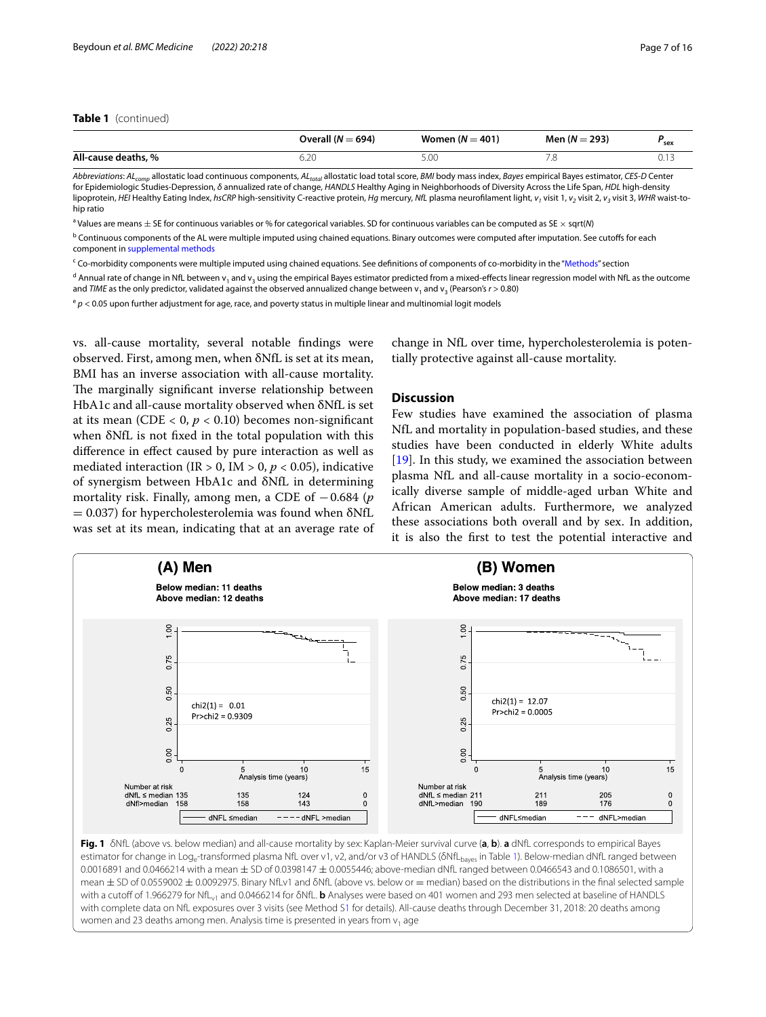# **Table 1** (continued)

|                     | Overall $(N = 694)$ | Women ( $N = 401$ ) | Men $(N = 293)$ | r <sub>sex</sub> |
|---------------------|---------------------|---------------------|-----------------|------------------|
| All-cause deaths, % | $\bigcap$<br>J.ZU   |                     |                 |                  |

*Abbreviations*: *ALcomp* allostatic load continuous components, *ALtotal* allostatic load total score, *BMI* body mass index, *Bayes* empirical Bayes estimator, *CES-D* Center for Epidemiologic Studies-Depression, *δ* annualized rate of change, *HANDLS* Healthy Aging in Neighborhoods of Diversity Across the Life Span, *HDL* high-density lipoprotein, HEI Healthy Eating Index, hsCRP high-sensitivity C-reactive protein, Hg mercury, NfL plasma neurofilament light, v<sub>1</sub> visit 1, v<sub>2</sub> visit 2, v<sub>3</sub> visit 3, WHR waist-tohip ratio

a Values are means ± SE for continuous variables or % for categorical variables. SD for continuous variables can be computed as SE × sqrt(*N*)

<sup>b</sup> Continuous components of the AL were multiple imputed using chained equations. Binary outcomes were computed after imputation. See cutoffs for each component in [supplemental methods](#page-13-0)

<sup>c</sup> Co-morbidity components were multiple imputed using chained equations. See definitions of components of co-morbidity in the ["Methods](#page-1-0)" section

<sup>d</sup> Annual rate of change in NfL between v<sub>1</sub> and v<sub>3</sub> using the empirical Bayes estimator predicted from a mixed-effects linear regression model with NfL as the outcome and *TIME* as the only predictor, validated against the observed annualized change between  $v_1$  and  $v_3$  (Pearson's  $r > 0.80$ )

<sup>e</sup> *p* < 0.05 upon further adjustment for age, race, and poverty status in multiple linear and multinomial logit models

vs. all-cause mortality, several notable fndings were observed. First, among men, when δNfL is set at its mean, BMI has an inverse association with all-cause mortality. The marginally significant inverse relationship between HbA1c and all-cause mortality observed when δNfL is set at its mean (CDE  $<$  0,  $p$   $<$  0.10) becomes non-significant when δNfL is not fxed in the total population with this diference in efect caused by pure interaction as well as mediated interaction (IR  $> 0$ , IM  $> 0$ ,  $p < 0.05$ ), indicative of synergism between HbA1c and δNfL in determining mortality risk. Finally, among men, a CDE of −0.684 (*p*  $= 0.037$ ) for hypercholesterolemia was found when  $\delta$ NfL was set at its mean, indicating that at an average rate of change in NfL over time, hypercholesterolemia is potentially protective against all-cause mortality.

# **Discussion**

Few studies have examined the association of plasma NfL and mortality in population-based studies, and these studies have been conducted in elderly White adults [[19\]](#page-14-14). In this study, we examined the association between plasma NfL and all-cause mortality in a socio-economically diverse sample of middle-aged urban White and African American adults. Furthermore, we analyzed these associations both overall and by sex. In addition, it is also the frst to test the potential interactive and



<span id="page-6-0"></span>estimator for change in Log<sub>e</sub>-transformed plasma NfL over v1, v2, and/or v3 of HANDLS ( $\delta Nf_{\text{haves}}$  in Table [1\)](#page-5-0). Below-median dNfL ranged between 0.0016891 and 0.0466214 with a mean  $\pm$  SD of 0.0398147  $\pm$  0.0055446; above-median dNfL ranged between 0.0466543 and 0.1086501, with a mean ± SD of 0.0559002 ± 0.0092975. Binary NfLv1 and δNfL (above vs. below or = median) based on the distributions in the final selected sample with a cutoff of 1.966279 for NfL<sub>v1</sub> and 0.0466214 for δNfL. **b** Analyses were based on 401 women and 293 men selected at baseline of HANDLS with complete data on NfL exposures over 3 visits (see Method [S1](#page-13-0) for details). All-cause deaths through December 31, 2018: 20 deaths among women and 23 deaths among men. Analysis time is presented in years from  $v_1$  age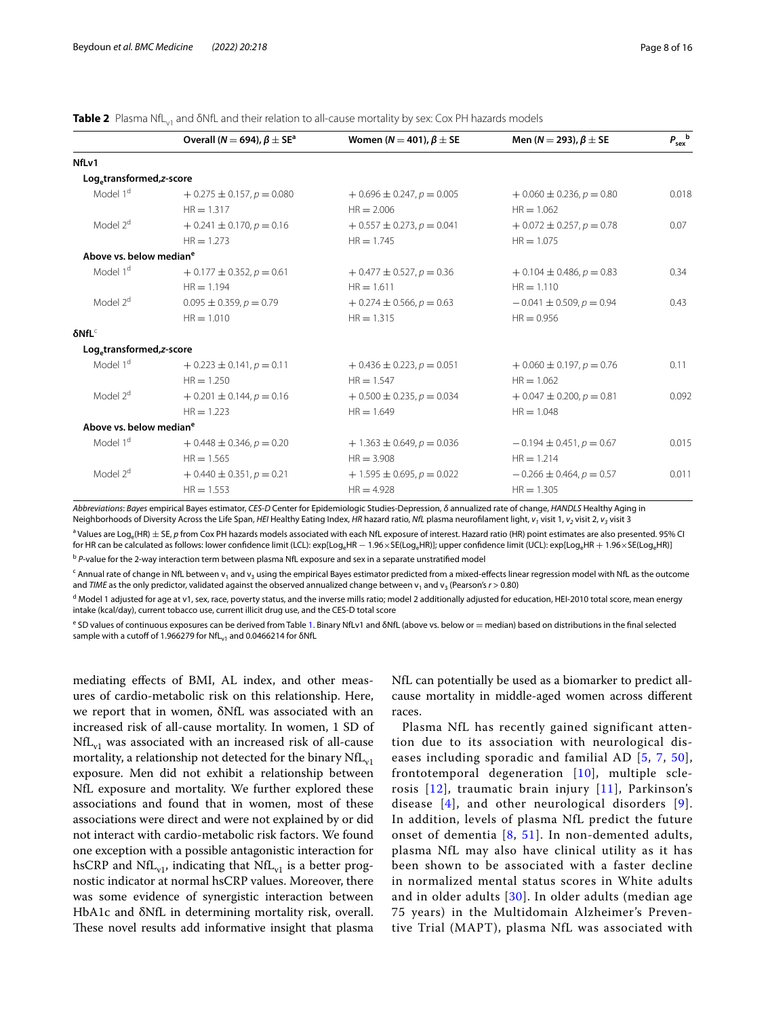<span id="page-7-0"></span>**Table 2** Plasma NfL<sub>v1</sub> and δNfL and their relation to all-cause mortality by sex: Cox PH hazards models

|                                       | Overall ( $N = 694$ ), $\beta \pm S E^a$ | Women ( $N = 401$ ), $\beta \pm SE$ | Men (N = 293), $\beta \pm$ SE   | $P_{\text{sex}}^{\text{b}}$ |
|---------------------------------------|------------------------------------------|-------------------------------------|---------------------------------|-----------------------------|
| NfLv1                                 |                                          |                                     |                                 |                             |
| Log <sub>e</sub> transformed, z-score |                                          |                                     |                                 |                             |
| Model 1 <sup>d</sup>                  | $+0.275 \pm 0.157$ , $p = 0.080$         | $+0.696 \pm 0.247, p = 0.005$       | $+0.060 \pm 0.236$ , $p = 0.80$ | 0.018                       |
|                                       | $HR = 1.317$                             | $HR = 2.006$                        | $HR = 1.062$                    |                             |
| Model 2 <sup>d</sup>                  | $+0.241 \pm 0.170$ , $p = 0.16$          | $+0.557 \pm 0.273$ , $p = 0.041$    | $+0.072 \pm 0.257$ , $p = 0.78$ | 0.07                        |
|                                       | $HR = 1.273$                             | $HR = 1.745$                        | $HR = 1.075$                    |                             |
| Above vs. below median <sup>e</sup>   |                                          |                                     |                                 |                             |
| Model 1 <sup>d</sup>                  | $+0.177 \pm 0.352$ , $p = 0.61$          | $+0.477 \pm 0.527, p = 0.36$        | $+0.104 \pm 0.486$ , $p = 0.83$ | 0.34                        |
|                                       | $HR = 1.194$                             | $HR = 1.611$                        | $HR = 1.110$                    |                             |
| Model 2 <sup>d</sup>                  | $0.095 \pm 0.359$ , $p = 0.79$           | $+0.274 \pm 0.566$ , $p = 0.63$     | $-0.041 \pm 0.509$ , $p = 0.94$ | 0.43                        |
|                                       | $HR = 1.010$                             | $HR = 1.315$                        | $HR = 0.956$                    |                             |
| $\delta NfL^c$                        |                                          |                                     |                                 |                             |
| Log <sub>e</sub> transformed, z-score |                                          |                                     |                                 |                             |
| Model 1 <sup>d</sup>                  | $+0.223 \pm 0.141, p = 0.11$             | $+0.436 \pm 0.223$ , $p = 0.051$    | $+0.060 \pm 0.197, p = 0.76$    | 0.11                        |
|                                       | $HR = 1.250$                             | $HR = 1.547$                        | $HR = 1.062$                    |                             |
| Model 2 <sup>d</sup>                  | $+0.201 \pm 0.144$ , $p = 0.16$          | $+0.500 \pm 0.235$ , $p = 0.034$    | $+0.047 \pm 0.200$ , $p = 0.81$ | 0.092                       |
|                                       | $HR = 1.223$                             | $HR = 1.649$                        | $HR = 1.048$                    |                             |
| Above vs. below median <sup>e</sup>   |                                          |                                     |                                 |                             |
| Model 1 <sup>d</sup>                  | $+0.448 \pm 0.346$ , $p = 0.20$          | $+1.363 \pm 0.649$ , $p = 0.036$    | $-0.194 \pm 0.451$ , $p = 0.67$ | 0.015                       |
|                                       | $HR = 1.565$                             | $HR = 3.908$                        | $HR = 1.214$                    |                             |
| Model 2 <sup>d</sup>                  | $+0.440 \pm 0.351, p = 0.21$             | $+1.595 \pm 0.695$ , $p = 0.022$    | $-0.266 \pm 0.464$ , $p = 0.57$ | 0.011                       |
|                                       | $HR = 1.553$                             | $HR = 4.928$                        | $HR = 1.305$                    |                             |

*Abbreviations*: *Bayes* empirical Bayes estimator, *CES-D* Center for Epidemiologic Studies-Depression, *δ* annualized rate of change, *HANDLS* Healthy Aging in Neighborhoods of Diversity Across the Life Span, *HEI* Healthy Eating Index, *HR* hazard ratio, *NfL* plasma neurofilament light, *v<sub>1</sub>* visit 1, *v<sub>2</sub>* visit 2, *v<sub>3</sub>* visit 3

a Values are Loge(HR) ± SE, *p* from Cox PH hazards models associated with each NfL exposure of interest. Hazard ratio (HR) point estimates are also presented. 95% CI for HR can be calculated as follows: lower confidence limit (LCL): exp[Log<sub>a</sub>HR − 1.96×SE(Log<sub>a</sub>HR)]; upper confidence limit (UCL): exp[Log<sub>a</sub>HR + 1.96×SE(Log<sub>a</sub>HR)]

<sup>b</sup> P-value for the 2-way interaction term between plasma NfL exposure and sex in a separate unstratified model

 $^{\mathsf{c}}$  Annual rate of change in NfL between v<sub>1</sub> and v<sub>3</sub> using the empirical Bayes estimator predicted from a mixed-effects linear regression model with NfL as the outcome and *TIME* as the only predictor, validated against the observed annualized change between  $v_1$  and  $v_3$  (Pearson's  $r > 0.80$ )

<sup>d</sup> Model 1 adjusted for age at v1, sex, race, poverty status, and the inverse mills ratio; model 2 additionally adjusted for education, HEI-2010 total score, mean energy intake (kcal/day), current tobacco use, current illicit drug use, and the CES-D total score

e SD values of continuous exposures can be derived from Table [1](#page-5-0). Binary NfLv1 and δNfL (above vs. below or = median) based on distributions in the final selected sample with a cutoff of 1.966279 for NfL<sub>v1</sub> and 0.0466214 for δNfL

mediating efects of BMI, AL index, and other measures of cardio-metabolic risk on this relationship. Here, we report that in women, δNfL was associated with an increased risk of all-cause mortality. In women, 1 SD of  $NfL_{v1}$  was associated with an increased risk of all-cause mortality, a relationship not detected for the binary  $NfL_{vl}$ exposure. Men did not exhibit a relationship between NfL exposure and mortality. We further explored these associations and found that in women, most of these associations were direct and were not explained by or did not interact with cardio-metabolic risk factors. We found one exception with a possible antagonistic interaction for hsCRP and NfL<sub>v1</sub>, indicating that NfL<sub>v1</sub> is a better prognostic indicator at normal hsCRP values. Moreover, there was some evidence of synergistic interaction between HbA1c and δNfL in determining mortality risk, overall. These novel results add informative insight that plasma NfL can potentially be used as a biomarker to predict allcause mortality in middle-aged women across diferent races.

Plasma NfL has recently gained significant attention due to its association with neurological diseases including sporadic and familial AD [[5](#page-14-4), [7,](#page-14-24) [50\]](#page-15-12), frontotemporal degeneration [[10\]](#page-14-25), multiple sclerosis  $[12]$  $[12]$ , traumatic brain injury  $[11]$  $[11]$ , Parkinson's disease  $[4]$  $[4]$  $[4]$ , and other neurological disorders  $[9]$ . In addition, levels of plasma NfL predict the future onset of dementia [[8](#page-14-5), [51\]](#page-15-13). In non-demented adults, plasma NfL may also have clinical utility as it has been shown to be associated with a faster decline in normalized mental status scores in White adults and in older adults [[30](#page-14-23)]. In older adults (median age 75 years) in the Multidomain Alzheimer's Preventive Trial (MAPT), plasma NfL was associated with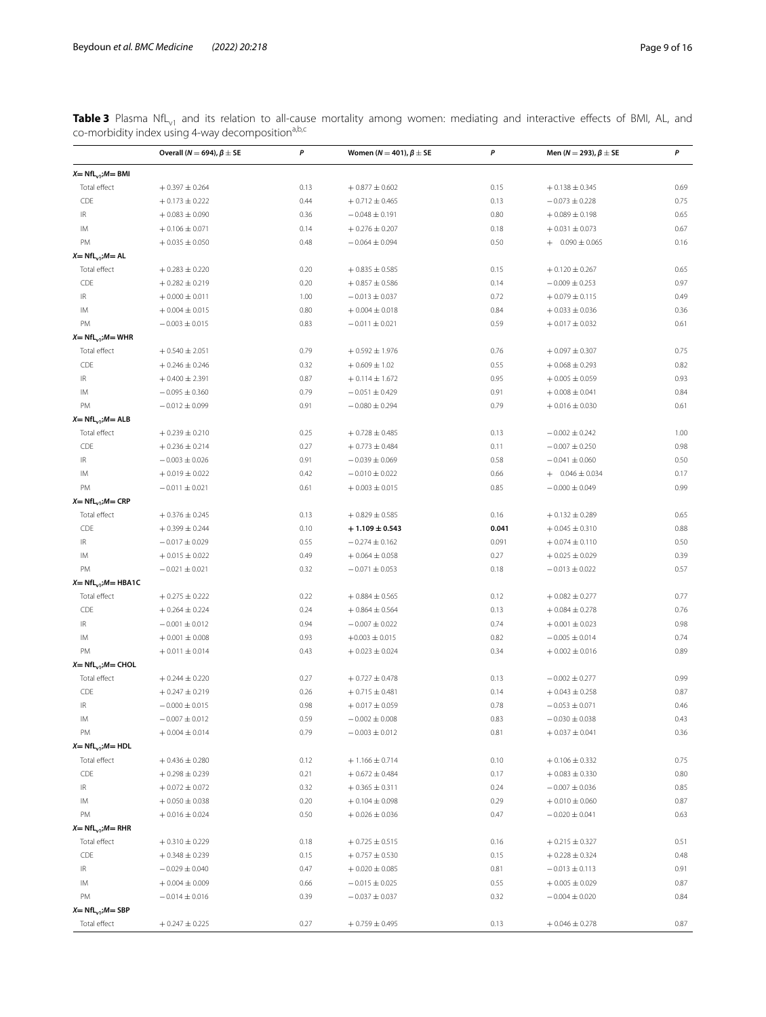<span id="page-8-0"></span>**Table 3** Plasma NfL<sub>v1</sub> and its relation to all-cause mortality among women: mediating and interactive effects of BMI, AL, and co-morbidity index using 4-way decomposition<sup>a,b,c</sup>

|                                   | Overall ( $N = 694$ ), $\beta \pm$ SE | P    | Women ( $N = 401$ ), $\beta \pm SE$ | P     | Men ( $N = 293$ ), $\beta \pm$ SE        | P    |
|-----------------------------------|---------------------------------------|------|-------------------------------------|-------|------------------------------------------|------|
| $X = NfL_{v1}$ ; $M = BMI$        |                                       |      |                                     |       |                                          |      |
| Total effect                      | $+0.397 \pm 0.264$                    | 0.13 | $+0.877 \pm 0.602$                  | 0.15  | $+0.138 \pm 0.345$                       | 0.69 |
| CDE                               | $+0.173 \pm 0.222$                    | 0.44 | $+0.712 \pm 0.465$                  | 0.13  | $-0.073 \pm 0.228$                       | 0.75 |
| $\ensuremath{\mathsf{IR}}\xspace$ | $+0.083 \pm 0.090$                    | 0.36 | $-0.048 \pm 0.191$                  | 0.80  | $+0.089 \pm 0.198$                       | 0.65 |
| IM                                | $+0.106 \pm 0.071$                    | 0.14 | $+0.276 \pm 0.207$                  | 0.18  | $+0.031 \pm 0.073$                       | 0.67 |
| PM                                | $+0.035 \pm 0.050$                    | 0.48 | $-0.064 \pm 0.094$                  | 0.50  | $+ 0.090 \pm 0.065$                      | 0.16 |
| $X = NfL_{v1}$ ; $M = AL$         |                                       |      |                                     |       |                                          |      |
| Total effect                      | $+0.283 \pm 0.220$                    | 0.20 | $+0.835 \pm 0.585$                  | 0.15  | $+0.120 \pm 0.267$                       | 0.65 |
| CDE                               | $+0.282 \pm 0.219$                    | 0.20 | $+0.857 \pm 0.586$                  | 0.14  | $-0.009 \pm 0.253$                       | 0.97 |
| IR                                | $+0.000 \pm 0.011$                    | 1.00 | $-0.013 \pm 0.037$                  | 0.72  | $+0.079 \pm 0.115$                       | 0.49 |
| IM                                | $+0.004 \pm 0.015$                    | 0.80 | $+0.004 \pm 0.018$                  | 0.84  | $+0.033 \pm 0.036$                       | 0.36 |
| PM                                | $-0.003 \pm 0.015$                    | 0.83 | $-0.011 \pm 0.021$                  | 0.59  | $+0.017 \pm 0.032$                       | 0.61 |
| $X = NfL_{v1}$ ; $M = WHR$        |                                       |      |                                     |       |                                          |      |
| Total effect                      | $+0.540 \pm 2.051$                    | 0.79 | $+0.592 \pm 1.976$                  | 0.76  | $+0.097 \pm 0.307$                       | 0.75 |
| CDE                               | $+0.246 \pm 0.246$                    | 0.32 | $+0.609 \pm 1.02$                   | 0.55  | $+0.068 \pm 0.293$                       | 0.82 |
| IR                                | $+0.400 \pm 2.391$                    | 0.87 | $+0.114 \pm 1.672$                  | 0.95  | $+0.005 \pm 0.059$                       | 0.93 |
|                                   |                                       |      |                                     |       |                                          |      |
| IM                                | $-0.095 \pm 0.360$                    | 0.79 | $-0.051 \pm 0.429$                  | 0.91  | $+0.008 \pm 0.041$<br>$+0.016 \pm 0.030$ | 0.84 |
| PM                                | $-0.012 \pm 0.099$                    | 0.91 | $-0.080 \pm 0.294$                  | 0.79  |                                          | 0.61 |
| $X = NfL_{v1}$ ; $M = ALB$        |                                       |      |                                     |       |                                          |      |
| Total effect                      | $+0.239 \pm 0.210$                    | 0.25 | $+0.728 \pm 0.485$                  | 0.13  | $-0.002 \pm 0.242$                       | 1.00 |
| CDE                               | $+0.236 \pm 0.214$                    | 0.27 | $+0.773 \pm 0.484$                  | 0.11  | $-0.007 \pm 0.250$                       | 0.98 |
| IR                                | $-0.003 \pm 0.026$                    | 0.91 | $-0.039 \pm 0.069$                  | 0.58  | $-0.041 \pm 0.060$                       | 0.50 |
| IM                                | $+0.019 \pm 0.022$                    | 0.42 | $-0.010 \pm 0.022$                  | 0.66  | $+$ 0.046 $\pm$ 0.034                    | 0.17 |
| PM                                | $-0.011 \pm 0.021$                    | 0.61 | $+0.003 \pm 0.015$                  | 0.85  | $-0.000 \pm 0.049$                       | 0.99 |
| $X = NfL_{v1}$ ; $M = CRP$        |                                       |      |                                     |       |                                          |      |
| Total effect                      | $+0.376 \pm 0.245$                    | 0.13 | $+0.829 \pm 0.585$                  | 0.16  | $+0.132 \pm 0.289$                       | 0.65 |
| CDE                               | $+0.399 \pm 0.244$                    | 0.10 | $+1.109 \pm 0.543$                  | 0.041 | $+0.045 \pm 0.310$                       | 0.88 |
| IR                                | $-0.017 \pm 0.029$                    | 0.55 | $-0.274 \pm 0.162$                  | 0.091 | $+0.074 \pm 0.110$                       | 0.50 |
| IM                                | $+0.015 \pm 0.022$                    | 0.49 | $+0.064 \pm 0.058$                  | 0.27  | $+0.025 \pm 0.029$                       | 0.39 |
| PM                                | $-0.021 \pm 0.021$                    | 0.32 | $-0.071 \pm 0.053$                  | 0.18  | $-0.013 \pm 0.022$                       | 0.57 |
| $X = NfL_{v1}$ ; $M = HBA1C$      |                                       |      |                                     |       |                                          |      |
| Total effect                      | $+0.275 \pm 0.222$                    | 0.22 | $+0.884 \pm 0.565$                  | 0.12  | $+0.082 \pm 0.277$                       | 0.77 |
| CDE                               | $+0.264 \pm 0.224$                    | 0.24 | $+0.864 \pm 0.564$                  | 0.13  | $+0.084 \pm 0.278$                       | 0.76 |
| $\ensuremath{\mathsf{IR}}\xspace$ | $-0.001 \pm 0.012$                    | 0.94 | $-0.007 \pm 0.022$                  | 0.74  | $+0.001 \pm 0.023$                       | 0.98 |
| IM                                | $+0.001 \pm 0.008$                    | 0.93 | $+0.003 \pm 0.015$                  | 0.82  | $-0.005 \pm 0.014$                       | 0.74 |
| PM                                | $+0.011 \pm 0.014$                    | 0.43 | $+0.023 \pm 0.024$                  | 0.34  | $+0.002 \pm 0.016$                       | 0.89 |
| $X = NfL_{v1}$ ; $M = CHOL$       |                                       |      |                                     |       |                                          |      |
| Total effect                      | $+0.244 \pm 0.220$                    | 0.27 | $+0.727 \pm 0.478$                  | 0.13  | $-0.002 \pm 0.277$                       | 0.99 |
| CDE                               | $+0.247 \pm 0.219$                    | 0.26 | $+0.715 \pm 0.481$                  | 0.14  | $+0.043 \pm 0.258$                       | 0.87 |
| IR                                | $-0.000 \pm 0.015$                    | 0.98 | $+0.017 \pm 0.059$                  | 0.78  | $-0.053 \pm 0.071$                       | 0.46 |
| IM                                | $-0.007 \pm 0.012$                    | 0.59 | $-0.002 \pm 0.008$                  | 0.83  | $-0.030 \pm 0.038$                       | 0.43 |
| PM                                | $+0.004 \pm 0.014$                    | 0.79 | $-0.003 \pm 0.012$                  | 0.81  | $+0.037 \pm 0.041$                       | 0.36 |
| $X = NfL_{v1}$ ; $M = HDL$        |                                       |      |                                     |       |                                          |      |
| Total effect                      | $+0.436 \pm 0.280$                    | 0.12 | $+1.166 \pm 0.714$                  | 0.10  | $+0.106 \pm 0.332$                       | 0.75 |
| CDE                               | $+0.298 \pm 0.239$                    | 0.21 | $+0.672 \pm 0.484$                  | 0.17  | $+0.083 \pm 0.330$                       | 0.80 |
| IR                                | $+0.072 \pm 0.072$                    | 0.32 | $+0.365 \pm 0.311$                  | 0.24  | $-0.007 \pm 0.036$                       | 0.85 |
| ΙM                                | $+0.050 \pm 0.038$                    | 0.20 | $+0.104 \pm 0.098$                  | 0.29  | $+0.010 \pm 0.060$                       | 0.87 |
| PM                                | $+0.016 \pm 0.024$                    | 0.50 | $+0.026 \pm 0.036$                  | 0.47  | $-0.020 \pm 0.041$                       | 0.63 |
| $X = NfL_{v1}$ ; $M = RHR$        |                                       |      |                                     |       |                                          |      |
| Total effect                      | $+0.310 \pm 0.229$                    | 0.18 | $+0.725 \pm 0.515$                  | 0.16  | $+0.215 \pm 0.327$                       | 0.51 |
| CDE                               | $+0.348 \pm 0.239$                    | 0.15 | $+0.757 \pm 0.530$                  | 0.15  | $+0.228 \pm 0.324$                       | 0.48 |
| IR.                               | $-0.029 \pm 0.040$                    | 0.47 | $+0.020 \pm 0.085$                  | 0.81  | $-0.013 \pm 0.113$                       | 0.91 |
| IM                                | $+0.004 \pm 0.009$                    | 0.66 | $-0.015 \pm 0.025$                  | 0.55  | $+0.005 \pm 0.029$                       | 0.87 |
| PM                                | $-0.014 \pm 0.016$                    | 0.39 | $-0.037 \pm 0.037$                  | 0.32  | $-0.004 \pm 0.020$                       | 0.84 |
| $X = NfL_{v1}$ ; $M = SBP$        |                                       |      |                                     |       |                                          |      |
| Total effect                      | $+0.247 \pm 0.225$                    | 0.27 | $+0.759 \pm 0.495$                  | 0.13  | $+0.046 \pm 0.278$                       | 0.87 |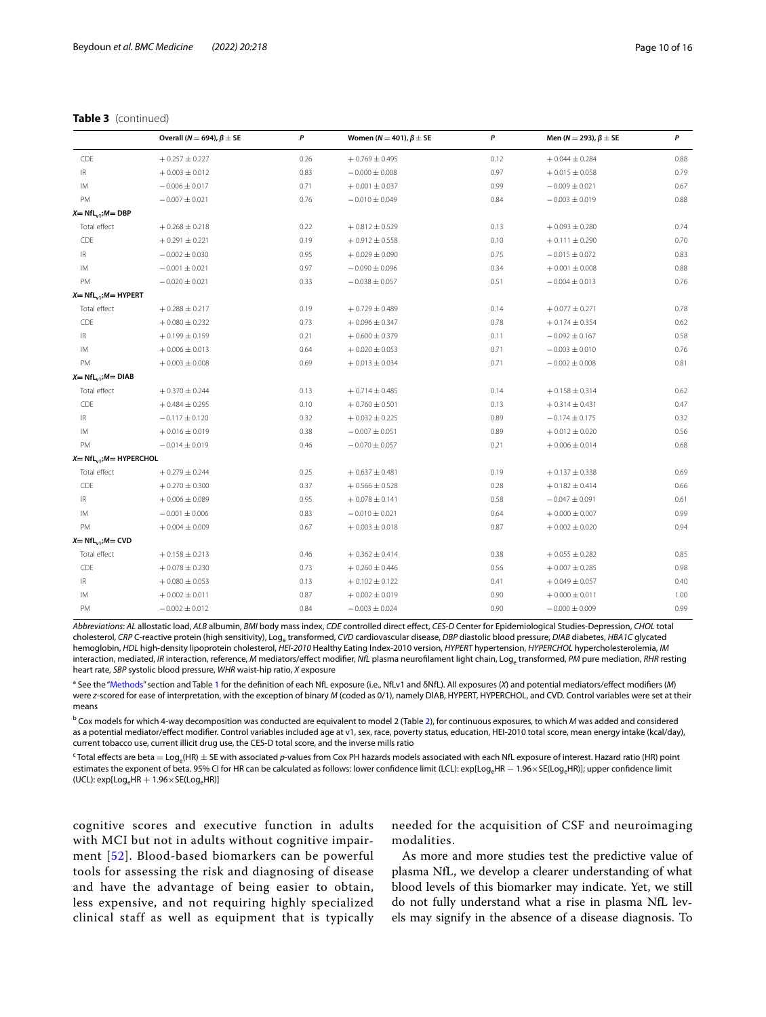# **Table 3** (continued)

|                                   | Overall ( $N = 694$ ), $\beta \pm$ SE | P    | Women ( $N = 401$ ), $\beta \pm SE$ | P    | Men (N = 293), $\beta \pm$ SE | P    |
|-----------------------------------|---------------------------------------|------|-------------------------------------|------|-------------------------------|------|
| CDE                               | $+0.257 \pm 0.227$                    | 0.26 | $+0.769 \pm 0.495$                  | 0.12 | $+0.044 \pm 0.284$            | 0.88 |
| $\ensuremath{\mathsf{IR}}\xspace$ | $+0.003 \pm 0.012$                    | 0.83 | $-0.000 \pm 0.008$                  | 0.97 | $+0.015 \pm 0.058$            | 0.79 |
| IM                                | $-0.006 \pm 0.017$                    | 0.71 | $+0.001 \pm 0.037$                  | 0.99 | $-0.009 \pm 0.021$            | 0.67 |
| PM                                | $-0.007 \pm 0.021$                    | 0.76 | $-0.010 \pm 0.049$                  | 0.84 | $-0.003 \pm 0.019$            | 0.88 |
| $X = NfL_{v1}$ ; $M = DBP$        |                                       |      |                                     |      |                               |      |
| Total effect                      | $+0.268 \pm 0.218$                    | 0.22 | $+0.812 \pm 0.529$                  | 0.13 | $+0.093 \pm 0.280$            | 0.74 |
| CDE                               | $+0.291 \pm 0.221$                    | 0.19 | $+0.912 \pm 0.558$                  | 0.10 | $+0.111 \pm 0.290$            | 0.70 |
| $\ensuremath{\mathsf{IR}}\xspace$ | $-0.002 \pm 0.030$                    | 0.95 | $+0.029 \pm 0.090$                  | 0.75 | $-0.015 \pm 0.072$            | 0.83 |
| IM                                | $-0.001 \pm 0.021$                    | 0.97 | $-0.090 \pm 0.096$                  | 0.34 | $+0.001 \pm 0.008$            | 0.88 |
| PM                                | $-0.020 \pm 0.021$                    | 0.33 | $-0.038 \pm 0.057$                  | 0.51 | $-0.004 \pm 0.013$            | 0.76 |
| $X = NfL_{v1}$ ; $M = HYPERT$     |                                       |      |                                     |      |                               |      |
| Total effect                      | $+0.288 \pm 0.217$                    | 0.19 | $+0.729 \pm 0.489$                  | 0.14 | $+0.077 \pm 0.271$            | 0.78 |
| CDE                               | $+0.080 \pm 0.232$                    | 0.73 | $+0.096 \pm 0.347$                  | 0.78 | $+0.174 \pm 0.354$            | 0.62 |
| $\ensuremath{\mathsf{IR}}\xspace$ | $+0.199 \pm 0.159$                    | 0.21 | $+0.600 \pm 0.379$                  | 0.11 | $-0.092 \pm 0.167$            | 0.58 |
| IM                                | $+0.006 \pm 0.013$                    | 0.64 | $+0.020 \pm 0.053$                  | 0.71 | $-0.003 \pm 0.010$            | 0.76 |
| PM                                | $+0.003 \pm 0.008$                    | 0.69 | $+0.013 \pm 0.034$                  | 0.71 | $-0.002 \pm 0.008$            | 0.81 |
| $X = NfL_{v1}$ ; $M = DIAB$       |                                       |      |                                     |      |                               |      |
| Total effect                      | $+0.370 \pm 0.244$                    | 0.13 | $+0.714 \pm 0.485$                  | 0.14 | $+0.158 \pm 0.314$            | 0.62 |
| CDE                               | $+0.484 \pm 0.295$                    | 0.10 | $+0.760 \pm 0.501$                  | 0.13 | $+0.314 \pm 0.431$            | 0.47 |
| $\ensuremath{\mathsf{IR}}\xspace$ | $-0.117 \pm 0.120$                    | 0.32 | $+0.032 \pm 0.225$                  | 0.89 | $-0.174 \pm 0.175$            | 0.32 |
| IM                                | $+0.016 \pm 0.019$                    | 0.38 | $-0.007 \pm 0.051$                  | 0.89 | $+0.012 \pm 0.020$            | 0.56 |
| PM                                | $-0.014 \pm 0.019$                    | 0.46 | $-0.070 \pm 0.057$                  | 0.21 | $+0.006 \pm 0.014$            | 0.68 |
| $X = NfL_{v1}$ ; $M = HYPERCHOL$  |                                       |      |                                     |      |                               |      |
| Total effect                      | $+0.279 \pm 0.244$                    | 0.25 | $+0.637 \pm 0.481$                  | 0.19 | $+0.137 \pm 0.338$            | 0.69 |
| CDE                               | $+0.270 \pm 0.300$                    | 0.37 | $+0.566 \pm 0.528$                  | 0.28 | $+0.182 \pm 0.414$            | 0.66 |
| $\ensuremath{\mathsf{IR}}\xspace$ | $+0.006 \pm 0.089$                    | 0.95 | $+0.078 \pm 0.141$                  | 0.58 | $-0.047 \pm 0.091$            | 0.61 |
| IM                                | $-0.001 \pm 0.006$                    | 0.83 | $-0.010 \pm 0.021$                  | 0.64 | $+0.000 \pm 0.007$            | 0.99 |
| PM                                | $+0.004 \pm 0.009$                    | 0.67 | $+0.003 \pm 0.018$                  | 0.87 | $+0.002 \pm 0.020$            | 0.94 |
| $X = NfL_{v1}$ ; $M = CVD$        |                                       |      |                                     |      |                               |      |
| Total effect                      | $+0.158 \pm 0.213$                    | 0.46 | $+0.362 \pm 0.414$                  | 0.38 | $+0.055 \pm 0.282$            | 0.85 |
| CDE                               | $+0.078 \pm 0.230$                    | 0.73 | $+0.260 \pm 0.446$                  | 0.56 | $+0.007 \pm 0.285$            | 0.98 |
| $\ensuremath{\mathsf{IR}}\xspace$ | $+0.080 \pm 0.053$                    | 0.13 | $+0.102 \pm 0.122$                  | 0.41 | $+0.049 \pm 0.057$            | 0.40 |
| IM                                | $+0.002 \pm 0.011$                    | 0.87 | $+0.002 \pm 0.019$                  | 0.90 | $+0.000 \pm 0.011$            | 1.00 |
| PM                                | $-0.002 \pm 0.012$                    | 0.84 | $-0.003 \pm 0.024$                  | 0.90 | $-0.000 \pm 0.009$            | 0.99 |

*Abbreviations*: *AL* allostatic load, *ALB* albumin, *BMI* body mass index, *CDE* controlled direct efect, *CES-D* Center for Epidemiological Studies-Depression, *CHOL* total cholesterol, *CRP* C-reactive protein (high sensitivity), Log, transformed, *CVD* cardiovascular disease, *DBP* diastolic blood pressure, *DIAB* diabetes, *HBA1C* glycated hemoglobin, *HDL* high-density lipoprotein cholesterol, *HEI-2010* Healthy Eating Index-2010 version, *HYPERT* hypertension, *HYPERCHOL* hypercholesterolemia, *IM* interaction, mediated, *IR* interaction, reference, *M* mediators/effect modifier, *NfL* plasma neurofilament light chain, Log<sub>e</sub> transformed, *PM* pure mediation, *RHR* resting heart rate, *SBP* systolic blood pressure, *WHR* waist-hip ratio, *X* exposure

a See the "[Methods](#page-1-0)" section and Table [1](#page-5-0) for the defnition of each NfL exposure (i.e., NfLv1 and δNfL). All exposures (*X*) and potential mediators/efect modifers (*M*) were *z*-scored for ease of interpretation, with the exception of binary *M* (coded as 0/1), namely DIAB, HYPERT, HYPERCHOL, and CVD. Control variables were set at their means

b Cox models for which 4-way decomposition was conducted are equivalent to model 2 (Table [2\)](#page-7-0), for continuous exposures, to which *M* was added and considered as a potential mediator/effect modifier. Control variables included age at v1, sex, race, poverty status, education, HEI-2010 total score, mean energy intake (kcal/day), current tobacco use, current illicit drug use, the CES-D total score, and the inverse mills ratio

c Total efects are beta = Loge(HR) ± SE with associated *p*-values from Cox PH hazards models associated with each NfL exposure of interest. Hazard ratio (HR) point estimates the exponent of beta. 95% CI for HR can be calculated as follows: lower confidence limit (LCL): exp[Log<sub>e</sub>HR − 1.96 × SE(Log<sub>e</sub>HR)]; upper confidence limit (UCL):  $exp[Log_e HR + 1.96 \times SE(log_e HR)]$ 

cognitive scores and executive function in adults with MCI but not in adults without cognitive impairment [\[52\]](#page-15-14). Blood-based biomarkers can be powerful tools for assessing the risk and diagnosing of disease and have the advantage of being easier to obtain, less expensive, and not requiring highly specialized clinical staff as well as equipment that is typically needed for the acquisition of CSF and neuroimaging modalities.

As more and more studies test the predictive value of plasma NfL, we develop a clearer understanding of what blood levels of this biomarker may indicate. Yet, we still do not fully understand what a rise in plasma NfL levels may signify in the absence of a disease diagnosis. To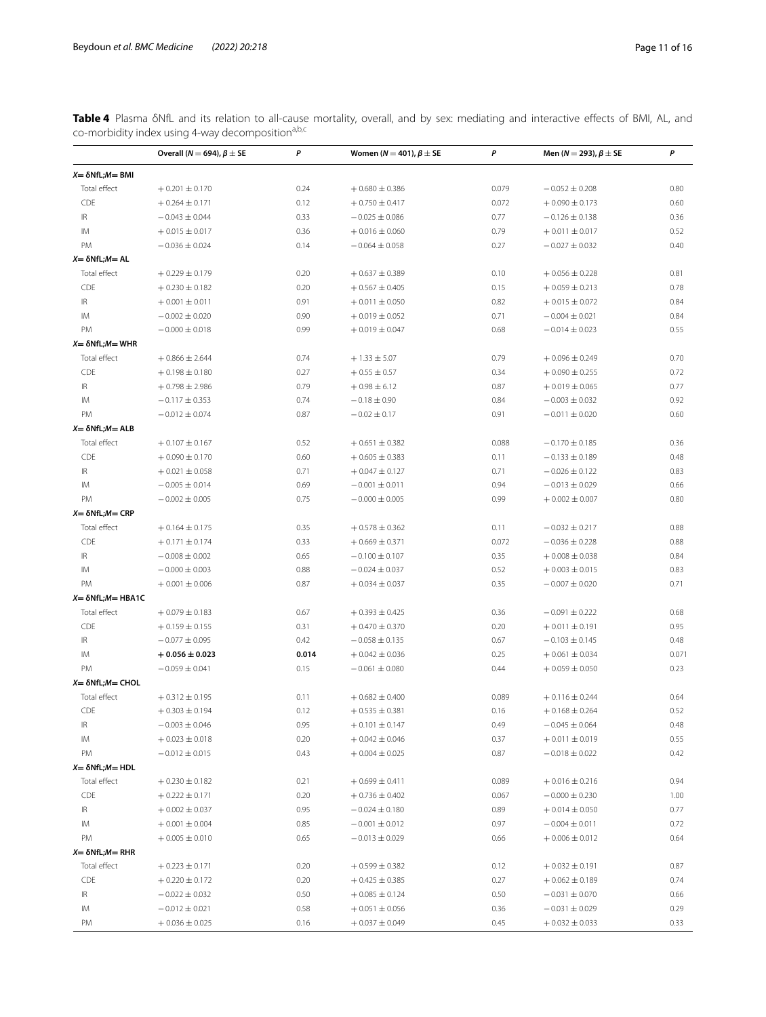<span id="page-10-0"></span>Table 4 Plasma δNfL and its relation to all-cause mortality, overall, and by sex: mediating and interactive effects of BMI, AL, and co-morbidity index using 4-way decomposition<sup>a,b,c</sup>

|                                   | Overall ( $N = 694$ ), $\beta \pm SE$ | P     | Women ( $N = 401$ ), $\beta \pm SE$ | P     | Men (N = 293), $\beta \pm$ SE | P     |
|-----------------------------------|---------------------------------------|-------|-------------------------------------|-------|-------------------------------|-------|
| $X = \delta NfL$ ; $M = BMI$      |                                       |       |                                     |       |                               |       |
| Total effect                      | $+0.201 \pm 0.170$                    | 0.24  | $+0.680 \pm 0.386$                  | 0.079 | $-0.052 \pm 0.208$            | 0.80  |
| CDE                               | $+0.264 \pm 0.171$                    | 0.12  | $+0.750 \pm 0.417$                  | 0.072 | $+0.090 \pm 0.173$            | 0.60  |
| $\ensuremath{\mathsf{IR}}\xspace$ | $-0.043 \pm 0.044$                    | 0.33  | $-0.025 \pm 0.086$                  | 0.77  | $-0.126 \pm 0.138$            | 0.36  |
| IM                                | $+0.015 \pm 0.017$                    | 0.36  | $+0.016 \pm 0.060$                  | 0.79  | $+0.011 \pm 0.017$            | 0.52  |
| PM                                | $-0.036 \pm 0.024$                    | 0.14  | $-0.064 \pm 0.058$                  | 0.27  | $-0.027 \pm 0.032$            | 0.40  |
| $X = \delta NfL$ ; $M = AL$       |                                       |       |                                     |       |                               |       |
| Total effect                      | $+0.229 \pm 0.179$                    | 0.20  | $+0.637 \pm 0.389$                  | 0.10  | $+0.056 \pm 0.228$            | 0.81  |
| CDE                               | $+0.230 \pm 0.182$                    | 0.20  | $+0.567 \pm 0.405$                  | 0.15  | $+0.059 \pm 0.213$            | 0.78  |
| $\ensuremath{\mathsf{IR}}\xspace$ | $+0.001 \pm 0.011$                    | 0.91  | $+0.011 \pm 0.050$                  | 0.82  | $+0.015 \pm 0.072$            | 0.84  |
| IM                                | $-0.002 \pm 0.020$                    | 0.90  | $+0.019 \pm 0.052$                  | 0.71  | $-0.004 \pm 0.021$            | 0.84  |
| PM                                | $-0.000 \pm 0.018$                    | 0.99  | $+0.019 \pm 0.047$                  | 0.68  | $-0.014 \pm 0.023$            | 0.55  |
| $X = \delta NfL$ ; $M = WHR$      |                                       |       |                                     |       |                               |       |
| Total effect                      | $+0.866 \pm 2.644$                    | 0.74  | $+1.33 \pm 5.07$                    | 0.79  | $+0.096 \pm 0.249$            | 0.70  |
| CDE                               | $+0.198 \pm 0.180$                    | 0.27  | $+0.55 \pm 0.57$                    | 0.34  | $+0.090 \pm 0.255$            | 0.72  |
| $\ensuremath{\mathsf{IR}}\xspace$ | $+0.798 \pm 2.986$                    | 0.79  | $+0.98 \pm 6.12$                    | 0.87  | $+0.019 \pm 0.065$            | 0.77  |
| IM                                | $-0.117 \pm 0.353$                    | 0.74  | $-0.18 \pm 0.90$                    | 0.84  | $-0.003 \pm 0.032$            | 0.92  |
| PM                                | $-0.012 \pm 0.074$                    | 0.87  | $-0.02 \pm 0.17$                    | 0.91  | $-0.011 \pm 0.020$            | 0.60  |
| $X = \delta NfL$ ; $M = ALB$      |                                       |       |                                     |       |                               |       |
| Total effect                      | $+0.107 \pm 0.167$                    | 0.52  | $+0.651 \pm 0.382$                  | 0.088 | $-0.170 \pm 0.185$            | 0.36  |
| CDE                               | $+0.090 \pm 0.170$                    | 0.60  | $+0.605 \pm 0.383$                  | 0.11  | $-0.133 \pm 0.189$            | 0.48  |
| $\ensuremath{\mathsf{IR}}\xspace$ | $+0.021 \pm 0.058$                    | 0.71  | $+0.047 \pm 0.127$                  | 0.71  | $-0.026 \pm 0.122$            | 0.83  |
| IM                                | $-0.005 \pm 0.014$                    | 0.69  | $-0.001 \pm 0.011$                  | 0.94  | $-0.013 \pm 0.029$            | 0.66  |
| PM                                | $-0.002 \pm 0.005$                    | 0.75  | $-0.000 \pm 0.005$                  | 0.99  | $+0.002 \pm 0.007$            | 0.80  |
| $X = \delta NfL:M = CRP$          |                                       |       |                                     |       |                               |       |
| Total effect                      | $+0.164 \pm 0.175$                    | 0.35  | $+0.578 \pm 0.362$                  | 0.11  | $-0.032 \pm 0.217$            | 0.88  |
| CDE                               | $+0.171 \pm 0.174$                    | 0.33  | $+0.669 \pm 0.371$                  | 0.072 | $-0.036 \pm 0.228$            | 0.88  |
| $\ensuremath{\mathsf{IR}}\xspace$ | $-0.008 \pm 0.002$                    | 0.65  | $-0.100 \pm 0.107$                  | 0.35  | $+0.008 \pm 0.038$            | 0.84  |
| IM                                | $-0.000 \pm 0.003$                    | 0.88  | $-0.024 \pm 0.037$                  | 0.52  | $+0.003 \pm 0.015$            | 0.83  |
| PM                                | $+0.001 \pm 0.006$                    | 0.87  | $+0.034 \pm 0.037$                  | 0.35  | $-0.007 \pm 0.020$            | 0.71  |
| $X = \delta NfL$ ; $M = HBA1C$    |                                       |       |                                     |       |                               |       |
| Total effect                      | $+0.079 \pm 0.183$                    | 0.67  | $+0.393 \pm 0.425$                  | 0.36  | $-0.091 \pm 0.222$            | 0.68  |
| CDE                               | $+0.159 \pm 0.155$                    | 0.31  | $+0.470 \pm 0.370$                  | 0.20  | $+0.011 \pm 0.191$            | 0.95  |
| $\ensuremath{\mathsf{IR}}\xspace$ | $-0.077 \pm 0.095$                    | 0.42  | $-0.058 \pm 0.135$                  | 0.67  | $-0.103 \pm 0.145$            | 0.48  |
| IM                                | $+0.056 \pm 0.023$                    | 0.014 | $+0.042 \pm 0.036$                  | 0.25  | $+0.061 \pm 0.034$            | 0.071 |
| PM                                | $-0.059 \pm 0.041$                    | 0.15  | $-0.061 \pm 0.080$                  | 0.44  | $+0.059 \pm 0.050$            | 0.23  |
| $X = \delta NfL$ ; $M = CHOL$     |                                       |       |                                     |       |                               |       |
| Total effect                      | $+0.312 \pm 0.195$                    | 0.11  | $+0.682 \pm 0.400$                  | 0.089 | $+0.116 \pm 0.244$            | 0.64  |
| CDE                               | $+0.303 \pm 0.194$                    | 0.12  | $+0.535 \pm 0.381$                  | 0.16  | $+0.168 \pm 0.264$            | 0.52  |
| IR                                | $-0.003 \pm 0.046$                    | 0.95  | $+0.101 \pm 0.147$                  | 0.49  | $-0.045 \pm 0.064$            | 0.48  |
| ΙM                                | $+0.023 \pm 0.018$                    | 0.20  | $+0.042 \pm 0.046$                  | 0.37  | $+0.011 \pm 0.019$            | 0.55  |
| PM                                | $-0.012 \pm 0.015$                    | 0.43  | $+0.004 \pm 0.025$                  | 0.87  | $-0.018 \pm 0.022$            | 0.42  |
| $X = \delta NfL$ ; $M = HDL$      |                                       |       |                                     |       |                               |       |
| Total effect                      | $+0.230 \pm 0.182$                    | 0.21  | $+0.699 \pm 0.411$                  | 0.089 | $+0.016 \pm 0.216$            | 0.94  |
| CDE                               | $+0.222 \pm 0.171$                    | 0.20  | $+0.736 \pm 0.402$                  | 0.067 | $-0.000 \pm 0.230$            | 1.00  |
| IR                                | $+0.002 \pm 0.037$                    | 0.95  | $-0.024 \pm 0.180$                  | 0.89  | $+0.014 \pm 0.050$            | 0.77  |
| ΙM                                | $+0.001 \pm 0.004$                    | 0.85  | $-0.001 \pm 0.012$                  | 0.97  | $-0.004 \pm 0.011$            | 0.72  |
| PM                                | $+0.005 \pm 0.010$                    | 0.65  | $-0.013 \pm 0.029$                  | 0.66  | $+0.006 \pm 0.012$            | 0.64  |
| $X = \delta NfL$ ; $M = RHR$      |                                       |       |                                     |       |                               |       |
| Total effect                      | $+0.223 \pm 0.171$                    | 0.20  | $+0.599 \pm 0.382$                  | 0.12  | $+0.032 \pm 0.191$            | 0.87  |
| CDE                               | $+0.220 \pm 0.172$                    | 0.20  | $+0.425 \pm 0.385$                  | 0.27  | $+0.062 \pm 0.189$            | 0.74  |
| IR                                | $-0.022 \pm 0.032$                    | 0.50  | $+0.085 \pm 0.124$                  | 0.50  | $-0.031 \pm 0.070$            | 0.66  |
| ΙM                                | $-0.012 \pm 0.021$                    | 0.58  | $+0.051 \pm 0.056$                  | 0.36  | $-0.031 \pm 0.029$            | 0.29  |
| PM                                | $+0.036 \pm 0.025$                    | 0.16  | $+0.037 \pm 0.049$                  | 0.45  | $+0.032 \pm 0.033$            | 0.33  |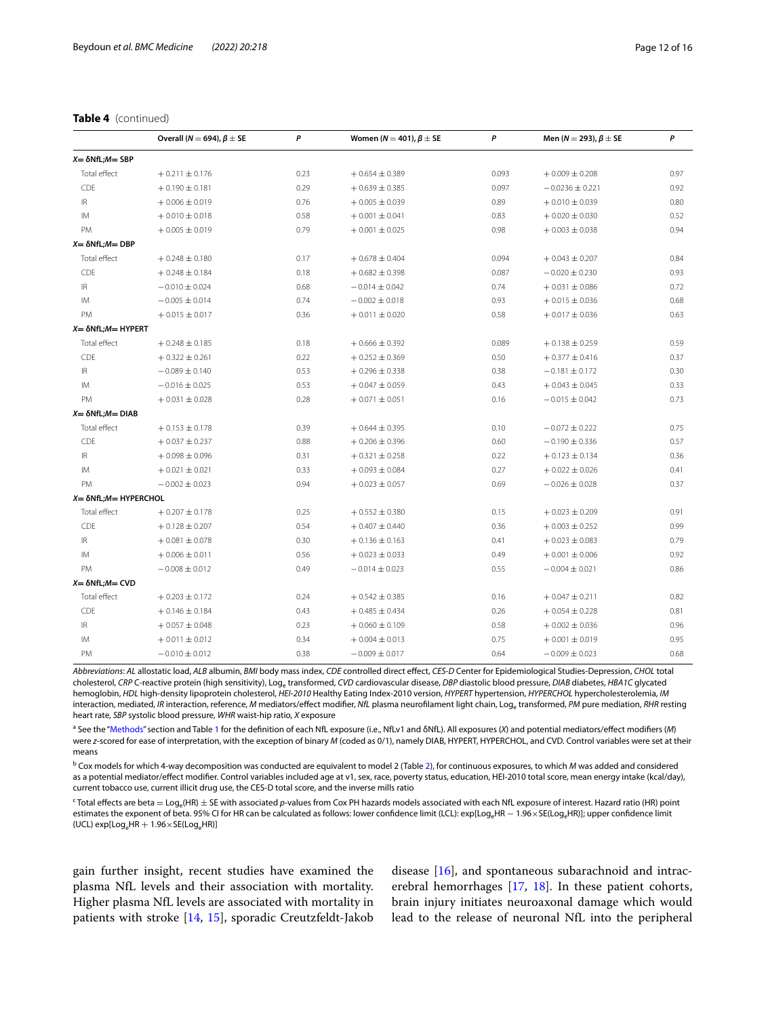# **Table 4** (continued)

|                                    | Overall ( $N = 694$ ), $\beta \pm$ SE | P    | Women ( $N = 401$ ), $\beta \pm$ SE | P     | Men (N = 293), $\beta \pm$ SE | P    |
|------------------------------------|---------------------------------------|------|-------------------------------------|-------|-------------------------------|------|
| $X = \delta NfL$ ; $M = SBP$       |                                       |      |                                     |       |                               |      |
| Total effect                       | $+0.211 \pm 0.176$                    | 0.23 | $+0.654 \pm 0.389$                  | 0.093 | $+0.009 \pm 0.208$            | 0.97 |
| CDE                                | $+0.190 \pm 0.181$                    | 0.29 | $+0.639 \pm 0.385$                  | 0.097 | $-0.0236 \pm 0.221$           | 0.92 |
| $\ensuremath{\mathsf{IR}}\xspace$  | $+0.006 \pm 0.019$                    | 0.76 | $+0.005 \pm 0.039$                  | 0.89  | $+0.010 \pm 0.039$            | 0.80 |
| IM                                 | $+0.010 \pm 0.018$                    | 0.58 | $+0.001 \pm 0.041$                  | 0.83  | $+0.020 \pm 0.030$            | 0.52 |
| <b>PM</b>                          | $+0.005 \pm 0.019$                    | 0.79 | $+0.001 \pm 0.025$                  | 0.98  | $+0.003 \pm 0.038$            | 0.94 |
| $X = \delta NfL$ ; $M = DBP$       |                                       |      |                                     |       |                               |      |
| Total effect                       | $+0.248 \pm 0.180$                    | 0.17 | $+0.678 \pm 0.404$                  | 0.094 | $+0.043 \pm 0.207$            | 0.84 |
| CDE                                | $+0.248 \pm 0.184$                    | 0.18 | $+0.682 \pm 0.398$                  | 0.087 | $-0.020 \pm 0.230$            | 0.93 |
| $\ensuremath{\mathsf{IR}}\xspace$  | $-0.010 \pm 0.024$                    | 0.68 | $-0.014 \pm 0.042$                  | 0.74  | $+0.031 \pm 0.086$            | 0.72 |
| IM                                 | $-0.005 \pm 0.014$                    | 0.74 | $-0.002 \pm 0.018$                  | 0.93  | $+0.015 \pm 0.036$            | 0.68 |
| PM                                 | $+0.015 \pm 0.017$                    | 0.36 | $+0.011 \pm 0.020$                  | 0.58  | $+0.017 \pm 0.036$            | 0.63 |
| $X = \delta NfL$ ; $M = HYPERT$    |                                       |      |                                     |       |                               |      |
| Total effect                       | $+0.248 \pm 0.185$                    | 0.18 | $+0.666 \pm 0.392$                  | 0.089 | $+0.138 \pm 0.259$            | 0.59 |
| <b>CDE</b>                         | $+0.322 \pm 0.261$                    | 0.22 | $+0.252 \pm 0.369$                  | 0.50  | $+0.377 \pm 0.416$            | 0.37 |
| $\ensuremath{\mathsf{IR}}\xspace$  | $-0.089 \pm 0.140$                    | 0.53 | $+0.296 \pm 0.338$                  | 0.38  | $-0.181 \pm 0.172$            | 0.30 |
| IM                                 | $-0.016 \pm 0.025$                    | 0.53 | $+0.047 \pm 0.059$                  | 0.43  | $+0.043 \pm 0.045$            | 0.33 |
| <b>PM</b>                          | $+0.031 \pm 0.028$                    | 0.28 | $+0.071 \pm 0.051$                  | 0.16  | $-0.015 \pm 0.042$            | 0.73 |
| $X = \delta NfL$ ; $M = DIAB$      |                                       |      |                                     |       |                               |      |
| Total effect                       | $+0.153 \pm 0.178$                    | 0.39 | $+0.644 \pm 0.395$                  | 0.10  | $-0.072 \pm 0.222$            | 0.75 |
| CDE                                | $+0.037 \pm 0.237$                    | 0.88 | $+0.206 \pm 0.396$                  | 0.60  | $-0.190 \pm 0.336$            | 0.57 |
| $\ensuremath{\mathsf{IR}}\xspace$  | $+0.098 \pm 0.096$                    | 0.31 | $+0.321 \pm 0.258$                  | 0.22  | $+0.123 \pm 0.134$            | 0.36 |
| IM                                 | $+0.021 \pm 0.021$                    | 0.33 | $+0.093 \pm 0.084$                  | 0.27  | $+0.022 \pm 0.026$            | 0.41 |
| PM                                 | $-0.002 \pm 0.023$                    | 0.94 | $+0.023 \pm 0.057$                  | 0.69  | $-0.026 \pm 0.028$            | 0.37 |
| $X = \delta NfL$ ; $M = HYPERCHOL$ |                                       |      |                                     |       |                               |      |
| Total effect                       | $+0.207 \pm 0.178$                    | 0.25 | $+0.552 \pm 0.380$                  | 0.15  | $+0.023 \pm 0.209$            | 0.91 |
| CDE                                | $+0.128 \pm 0.207$                    | 0.54 | $+0.407 \pm 0.440$                  | 0.36  | $+0.003 \pm 0.252$            | 0.99 |
| $\ensuremath{\mathsf{IR}}\xspace$  | $+0.081 \pm 0.078$                    | 0.30 | $+0.136 \pm 0.163$                  | 0.41  | $+0.023 \pm 0.083$            | 0.79 |
| IM.                                | $+0.006 \pm 0.011$                    | 0.56 | $+0.023 \pm 0.033$                  | 0.49  | $+0.001 \pm 0.006$            | 0.92 |
| <b>PM</b>                          | $-0.008 \pm 0.012$                    | 0.49 | $-0.014 \pm 0.023$                  | 0.55  | $-0.004 \pm 0.021$            | 0.86 |
| $X = \delta NfL$ ; $M = CVD$       |                                       |      |                                     |       |                               |      |
| Total effect                       | $+0.203 \pm 0.172$                    | 0.24 | $+0.542 \pm 0.385$                  | 0.16  | $+0.047 \pm 0.211$            | 0.82 |
| CDE                                | $+0.146 \pm 0.184$                    | 0.43 | $+0.485 \pm 0.434$                  | 0.26  | $+0.054 \pm 0.228$            | 0.81 |
| $\ensuremath{\mathsf{IR}}\xspace$  | $+0.057 \pm 0.048$                    | 0.23 | $+0.060 \pm 0.109$                  | 0.58  | $+0.002 \pm 0.036$            | 0.96 |
| IM                                 | $+0.011 \pm 0.012$                    | 0.34 | $+0.004 \pm 0.013$                  | 0.75  | $+0.001 \pm 0.019$            | 0.95 |
| <b>PM</b>                          | $-0.010 \pm 0.012$                    | 0.38 | $-0.009 \pm 0.017$                  | 0.64  | $-0.009 \pm 0.023$            | 0.68 |

*Abbreviations*: *AL* allostatic load, *ALB* albumin, *BMI* body mass index, *CDE* controlled direct efect, *CES-D* Center for Epidemiological Studies-Depression, *CHOL* total cholesterol, *CRP* C-reactive protein (high sensitivity), Log<sub>e</sub> transformed, *CVD* cardiovascular disease, *DBP* diastolic blood pressure, *DIAB* diabetes, *HBA1C* glycated hemoglobin, *HDL* high-density lipoprotein cholesterol, *HEI-2010* Healthy Eating Index-2010 version, *HYPERT* hypertension, *HYPERCHOL* hypercholesterolemia, *IM* interaction, mediated, *IR* interaction, reference, *M* mediators/effect modifier, *NfL* plasma neurofilament light chain, Log<sub>e</sub> transformed, *PM* pure mediation, *RHR* resting heart rate, *SBP* systolic blood pressure, *WHR* waist-hip ratio, *X* exposure

a See the "[Methods](#page-1-0)" section and Table [1](#page-5-0) for the definition of each NfL exposure (i.e., NfLv1 and δNfL). All exposures (X) and potential mediators/effect modifiers (M) were *z*-scored for ease of interpretation, with the exception of binary *M* (coded as 0/1), namely DIAB, HYPERT, HYPERCHOL, and CVD. Control variables were set at their means

b Cox models for which 4-way decomposition was conducted are equivalent to model 2 (Table [2\)](#page-7-0), for continuous exposures, to which *M* was added and considered as a potential mediator/effect modifier. Control variables included age at v1, sex, race, poverty status, education, HEI-2010 total score, mean energy intake (kcal/day), current tobacco use, current illicit drug use, the CES-D total score, and the inverse mills ratio

c Total efects are beta = Loge(HR) ± SE with associated *p*-values from Cox PH hazards models associated with each NfL exposure of interest. Hazard ratio (HR) point estimates the exponent of beta. 95% CI for HR can be calculated as follows: lower confidence limit (LCL): exp[Log<sub>e</sub>HR − 1.96 × SE(Log<sub>e</sub>HR)]; upper confidence limit (UCL)  $exp[Log_e HR + 1.96 \times SE(log_e HR)]$ 

gain further insight, recent studies have examined the plasma NfL levels and their association with mortality. Higher plasma NfL levels are associated with mortality in patients with stroke [[14,](#page-14-9) [15](#page-14-10)], sporadic Creutzfeldt-Jakob

disease [[16\]](#page-14-11), and spontaneous subarachnoid and intracerebral hemorrhages [\[17](#page-14-12), [18](#page-14-13)]. In these patient cohorts, brain injury initiates neuroaxonal damage which would lead to the release of neuronal NfL into the peripheral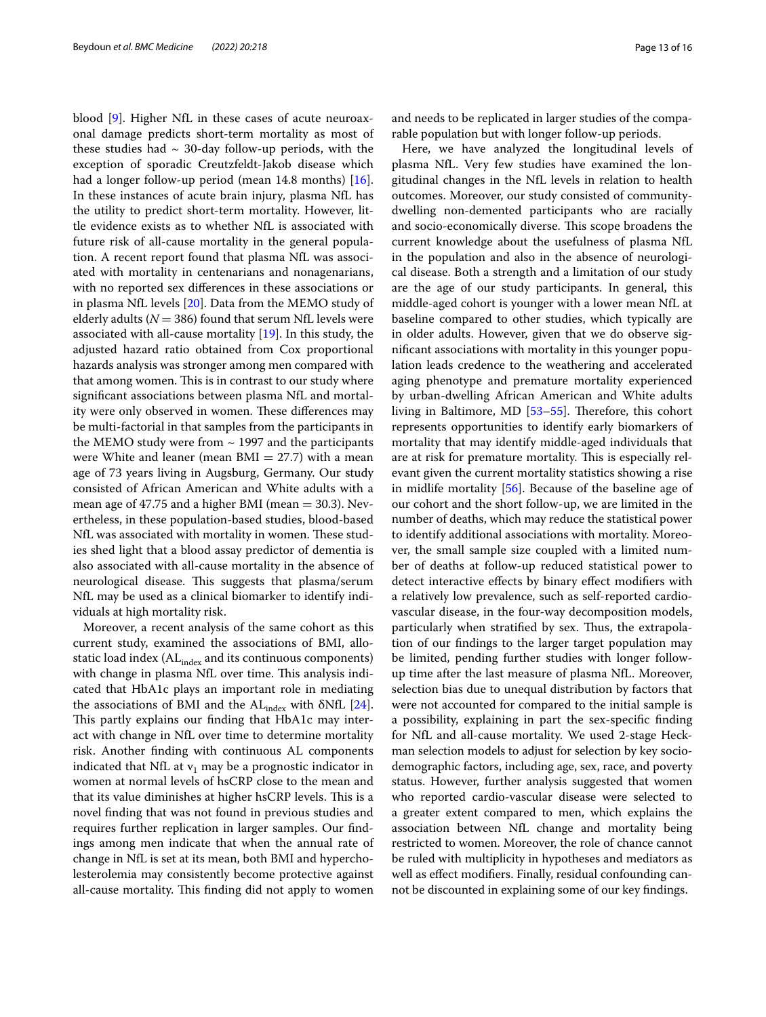blood [\[9](#page-14-6)]. Higher NfL in these cases of acute neuroaxonal damage predicts short-term mortality as most of these studies had  $\sim$  30-day follow-up periods, with the exception of sporadic Creutzfeldt-Jakob disease which had a longer follow-up period (mean 14.8 months) [\[16](#page-14-11)]. In these instances of acute brain injury, plasma NfL has the utility to predict short-term mortality. However, little evidence exists as to whether NfL is associated with future risk of all-cause mortality in the general population. A recent report found that plasma NfL was associated with mortality in centenarians and nonagenarians, with no reported sex diferences in these associations or in plasma NfL levels [[20](#page-14-15)]. Data from the MEMO study of elderly adults ( $N = 386$ ) found that serum NfL levels were associated with all-cause mortality [\[19](#page-14-14)]. In this study, the adjusted hazard ratio obtained from Cox proportional hazards analysis was stronger among men compared with that among women. This is in contrast to our study where signifcant associations between plasma NfL and mortality were only observed in women. These differences may be multi-factorial in that samples from the participants in the MEMO study were from  $\sim$  1997 and the participants were White and leaner (mean  $BMI = 27.7$ ) with a mean age of 73 years living in Augsburg, Germany. Our study consisted of African American and White adults with a mean age of 47.75 and a higher BMI (mean  $=$  30.3). Nevertheless, in these population-based studies, blood-based NfL was associated with mortality in women. These studies shed light that a blood assay predictor of dementia is also associated with all-cause mortality in the absence of neurological disease. This suggests that plasma/serum NfL may be used as a clinical biomarker to identify individuals at high mortality risk.

Moreover, a recent analysis of the same cohort as this current study, examined the associations of BMI, allostatic load index (AL<sub>index</sub> and its continuous components) with change in plasma NfL over time. This analysis indicated that HbA1c plays an important role in mediating the associations of BMI and the  $AL_{index}$  with  $\delta NfL$  [\[24](#page-14-19)]. This partly explains our finding that HbA1c may interact with change in NfL over time to determine mortality risk. Another fnding with continuous AL components indicated that NfL at  $v_1$  may be a prognostic indicator in women at normal levels of hsCRP close to the mean and that its value diminishes at higher hsCRP levels. This is a novel fnding that was not found in previous studies and requires further replication in larger samples. Our fndings among men indicate that when the annual rate of change in NfL is set at its mean, both BMI and hypercholesterolemia may consistently become protective against all-cause mortality. This finding did not apply to women

and needs to be replicated in larger studies of the comparable population but with longer follow-up periods.

Here, we have analyzed the longitudinal levels of plasma NfL. Very few studies have examined the longitudinal changes in the NfL levels in relation to health outcomes. Moreover, our study consisted of communitydwelling non-demented participants who are racially and socio-economically diverse. This scope broadens the current knowledge about the usefulness of plasma NfL in the population and also in the absence of neurological disease. Both a strength and a limitation of our study are the age of our study participants. In general, this middle-aged cohort is younger with a lower mean NfL at baseline compared to other studies, which typically are in older adults. However, given that we do observe signifcant associations with mortality in this younger population leads credence to the weathering and accelerated aging phenotype and premature mortality experienced by urban-dwelling African American and White adults living in Baltimore, MD  $[53-55]$  $[53-55]$ . Therefore, this cohort represents opportunities to identify early biomarkers of mortality that may identify middle-aged individuals that are at risk for premature mortality. This is especially relevant given the current mortality statistics showing a rise in midlife mortality [\[56\]](#page-15-17). Because of the baseline age of our cohort and the short follow-up, we are limited in the number of deaths, which may reduce the statistical power to identify additional associations with mortality. Moreover, the small sample size coupled with a limited number of deaths at follow-up reduced statistical power to detect interactive efects by binary efect modifers with a relatively low prevalence, such as self-reported cardiovascular disease, in the four-way decomposition models, particularly when stratified by sex. Thus, the extrapolation of our fndings to the larger target population may be limited, pending further studies with longer followup time after the last measure of plasma NfL. Moreover, selection bias due to unequal distribution by factors that were not accounted for compared to the initial sample is a possibility, explaining in part the sex-specifc fnding for NfL and all-cause mortality. We used 2-stage Heckman selection models to adjust for selection by key sociodemographic factors, including age, sex, race, and poverty status. However, further analysis suggested that women who reported cardio-vascular disease were selected to a greater extent compared to men, which explains the association between NfL change and mortality being restricted to women. Moreover, the role of chance cannot be ruled with multiplicity in hypotheses and mediators as well as efect modifers. Finally, residual confounding cannot be discounted in explaining some of our key fndings.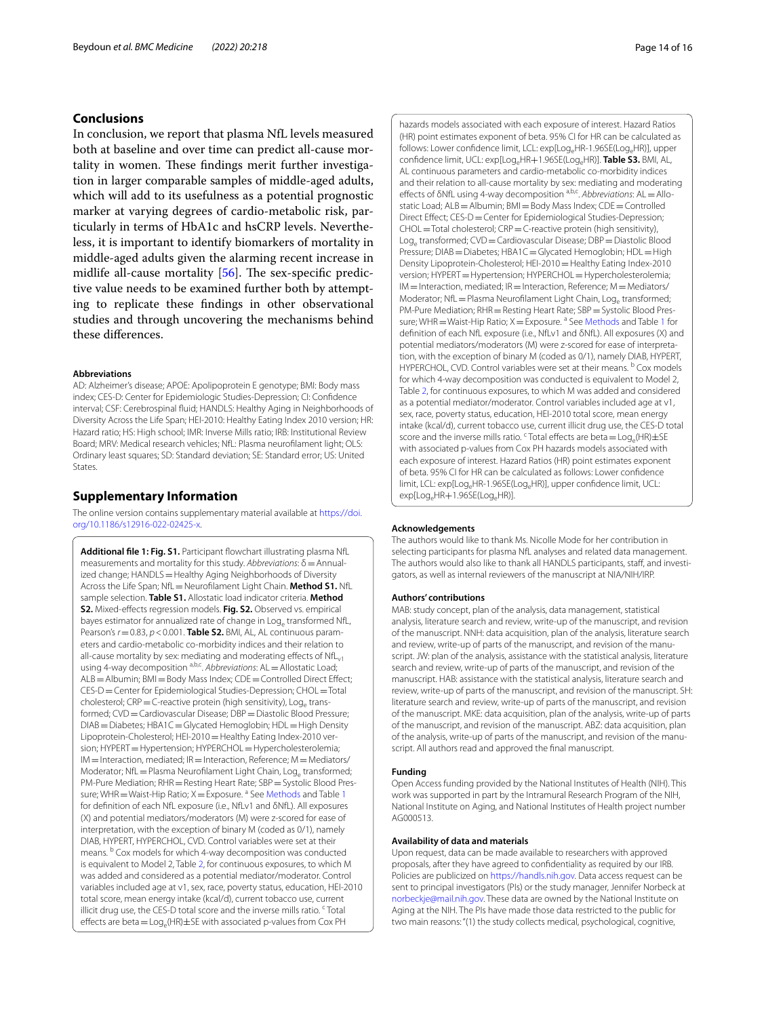# **Conclusions**

In conclusion, we report that plasma NfL levels measured both at baseline and over time can predict all-cause mortality in women. These findings merit further investigation in larger comparable samples of middle-aged adults, which will add to its usefulness as a potential prognostic marker at varying degrees of cardio-metabolic risk, particularly in terms of HbA1c and hsCRP levels. Nevertheless, it is important to identify biomarkers of mortality in middle-aged adults given the alarming recent increase in midlife all-cause mortality  $[56]$  $[56]$ . The sex-specific predictive value needs to be examined further both by attempting to replicate these fndings in other observational studies and through uncovering the mechanisms behind these diferences.

#### **Abbreviations**

AD: Alzheimer's disease; APOE: Apolipoprotein E genotype; BMI: Body mass index; CES-D: Center for Epidemiologic Studies-Depression; CI: Confdence interval; CSF: Cerebrospinal fuid; HANDLS: Healthy Aging in Neighborhoods of Diversity Across the Life Span; HEI-2010: Healthy Eating Index 2010 version; HR: Hazard ratio; HS: High school; IMR: Inverse Mills ratio; IRB: Institutional Review Board; MRV: Medical research vehicles; NfL: Plasma neuroflament light; OLS: Ordinary least squares; SD: Standard deviation; SE: Standard error; US: United States.

# **Supplementary Information**

The online version contains supplementary material available at [https://doi.](https://doi.org/10.1186/s12916-022-02425-x) [org/10.1186/s12916-022-02425-x.](https://doi.org/10.1186/s12916-022-02425-x)

<span id="page-13-0"></span>Additional file 1: Fig. S1. Participant flowchart illustrating plasma NfL measurements and mortality for this study. *Abbreviations*: δ=Annualized change; HANDLS = Healthy Aging Neighborhoods of Diversity Across the Life Span; NfL=Neuroflament Light Chain. **Method S1.** NfL sample selection. **Table S1.** Allostatic load indicator criteria. **Method S2.** Mixed-efects regression models. **Fig. S2.** Observed vs. empirical bayes estimator for annualized rate of change in Log<sub>e</sub> transformed NfL, Pearson's  $r$  = 0.83,  $p$  < 0.001. Table S2. BMI, AL, AL continuous parameters and cardio-metabolic co-morbidity indices and their relation to all-cause mortality by sex: mediating and moderating effects of  $NfL_{v1}$ using 4-way decomposition <sup>a,b,c</sup>. *Abbreviations*: AL = Allostatic Load; ALB=Albumin; BMI=Body Mass Index; CDE=Controlled Direct Effect; CES-D=Center for Epidemiological Studies-Depression; CHOL=Total cholesterol;  $CRP = C$ -reactive protein (high sensitivity), Log<sub>e</sub> transformed; CVD = Cardiovascular Disease; DBP = Diastolic Blood Pressure; DIAB=Diabetes; HBA1C=Glycated Hemoglobin; HDL=High Density Lipoprotein-Cholesterol; HEI-2010=Healthy Eating Index-2010 version; HYPERT = Hypertension; HYPERCHOL = Hypercholesterolemia;  $IM=$ Interaction, mediated; IR  $=$  Interaction, Reference; M  $=$  Mediators/ Moderator; NfL = Plasma Neurofilament Light Chain, Log<sub>e</sub> transformed; PM-Pure Mediation; RHR=Resting Heart Rate; SBP=Systolic Blood Pres-sure; WHR = Waist-Hip Ratio; X = Exposure. <sup>a</sup> See [Methods](#page-1-0) and Table [1](#page-5-0) for defnition of each NfL exposure (i.e., NfLv1 and δNfL). All exposures (X) and potential mediators/moderators (M) were z-scored for ease of interpretation, with the exception of binary M (coded as 0/1), namely DIAB, HYPERT, HYPERCHOL, CVD. Control variables were set at their means. <sup>b</sup> Cox models for which 4-way decomposition was conducted is equivalent to Model 2, Table [2](#page-7-0), for continuous exposures, to which M was added and considered as a potential mediator/moderator. Control variables included age at v1, sex, race, poverty status, education, HEI-2010 total score, mean energy intake (kcal/d), current tobacco use, current illicit drug use, the CES-D total score and the inverse mills ratio. <sup>c</sup>Total effects are beta  $=$  Log<sub>e</sub>(HR) $\pm$ SE with associated p-values from Cox PH

hazards models associated with each exposure of interest. Hazard Ratios (HR) point estimates exponent of beta. 95% CI for HR can be calculated as follows: Lower confidence limit, LCL: exp[Log<sub>e</sub>HR-1.96SE(Log<sub>e</sub>HR)], upper confidence limit, UCL: exp[Log.HR+1.96SE(Log.HR)]. **Table S3.** BMI, AL, AL continuous parameters and cardio-metabolic co-morbidity indices and their relation to all-cause mortality by sex: mediating and moderating efects of δNfL using 4-way decomposition a,b,c. *Abbreviations*: AL=Allostatic Load; ALB=Albumin; BMI=Body Mass Index; CDE=Controlled Direct Effect: CES-D = Center for Epidemiological Studies-Depression; CHOL=Total cholesterol; CRP=C-reactive protein (high sensitivity), Log<sub>e</sub> transformed; CVD = Cardiovascular Disease; DBP = Diastolic Blood Pressure; DIAB = Diabetes; HBA1C = Glycated Hemoglobin; HDL = High Density Lipoprotein-Cholesterol; HEI-2010=Healthy Eating Index-2010 version; HYPERT=Hypertension; HYPERCHOL=Hypercholesterolemia; IM = Interaction, mediated; IR = Interaction, Reference; M = Mediators/ Moderator; NfL = Plasma Neurofilament Light Chain, Log. transformed; PM-Pure Mediation; RHR = Resting Heart Rate; SBP = Systolic Blood Pressure; WHR = Waist-Hip Ratio;  $X =$  Exposure. <sup>a</sup> See [Methods](#page-1-0) and Table [1](#page-5-0) for defnition of each NfL exposure (i.e., NfLv1 and δNfL). All exposures (X) and potential mediators/moderators (M) were z-scored for ease of interpretation, with the exception of binary M (coded as 0/1), namely DIAB, HYPERT, HYPERCHOL, CVD. Control variables were set at their means. <sup>b</sup> Cox models for which 4-way decomposition was conducted is equivalent to Model 2, Table [2,](#page-7-0) for continuous exposures, to which M was added and considered as a potential mediator/moderator. Control variables included age at v1, sex, race, poverty status, education, HEI-2010 total score, mean energy intake (kcal/d), current tobacco use, current illicit drug use, the CES-D total score and the inverse mills ratio. <sup>c</sup> Total effects are beta =  $Log_e(HR) \pm SE$ with associated p-values from Cox PH hazards models associated with each exposure of interest. Hazard Ratios (HR) point estimates exponent of beta. 95% CI for HR can be calculated as follows: Lower confdence limit, LCL: exp[Log<sub>e</sub>HR-1.96SE(Log<sub>e</sub>HR)], upper confidence limit, UCL: exp[Log.HR+1.96SE(Log.HR)].

#### **Acknowledgements**

The authors would like to thank Ms. Nicolle Mode for her contribution in selecting participants for plasma NfL analyses and related data management. The authors would also like to thank all HANDLS participants, staff, and investigators, as well as internal reviewers of the manuscript at NIA/NIH/IRP.

#### **Authors' contributions**

MAB: study concept, plan of the analysis, data management, statistical analysis, literature search and review, write-up of the manuscript, and revision of the manuscript. NNH: data acquisition, plan of the analysis, literature search and review, write-up of parts of the manuscript, and revision of the manuscript. JW: plan of the analysis, assistance with the statistical analysis, literature search and review, write-up of parts of the manuscript, and revision of the manuscript. HAB: assistance with the statistical analysis, literature search and review, write-up of parts of the manuscript, and revision of the manuscript. SH: literature search and review, write-up of parts of the manuscript, and revision of the manuscript. MKE: data acquisition, plan of the analysis, write-up of parts of the manuscript, and revision of the manuscript. ABZ: data acquisition, plan of the analysis, write-up of parts of the manuscript, and revision of the manuscript. All authors read and approved the fnal manuscript.

#### **Funding**

Open Access funding provided by the National Institutes of Health (NIH). This work was supported in part by the Intramural Research Program of the NIH, National Institute on Aging, and National Institutes of Health project number AG000513.

#### **Availability of data and materials**

Upon request, data can be made available to researchers with approved proposals, after they have agreed to confdentiality as required by our IRB. Policies are publicized on [https://handls.nih.gov.](https://handls.nih.gov) Data access request can be sent to principal investigators (PIs) or the study manager, Jennifer Norbeck at [norbeckje@mail.nih.gov.](norbeckje@mail.nih.gov) These data are owned by the National Institute on Aging at the NIH. The PIs have made those data restricted to the public for two main reasons: "(1) the study collects medical, psychological, cognitive,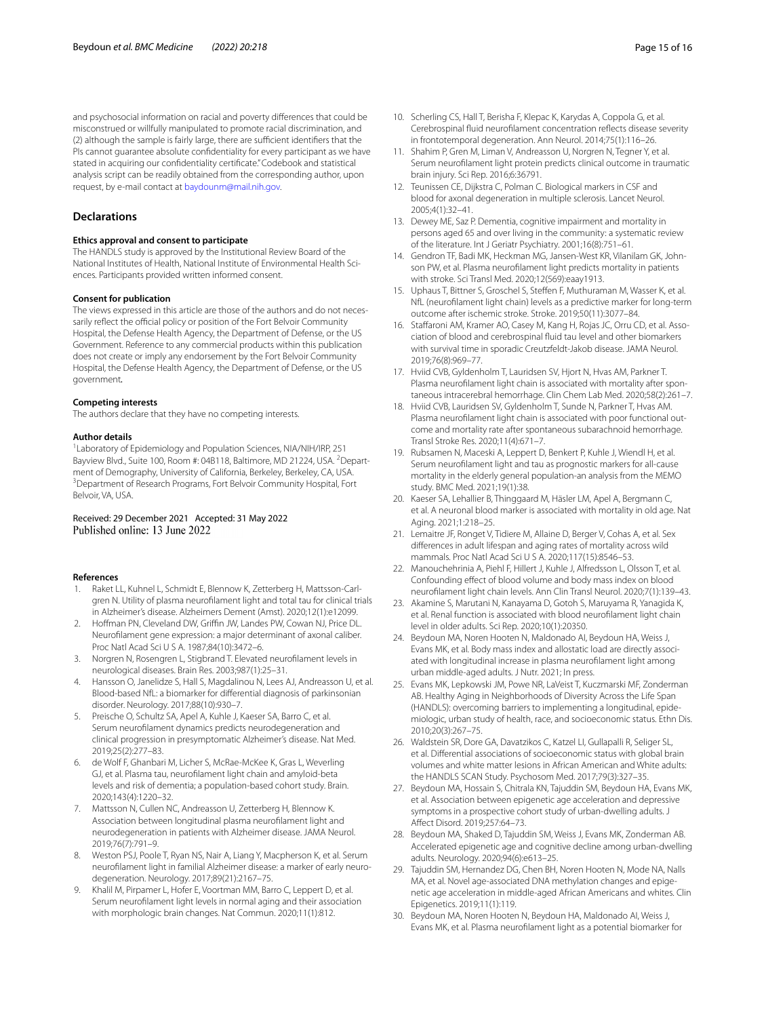and psychosocial information on racial and poverty diferences that could be misconstrued or willfully manipulated to promote racial discrimination, and (2) although the sample is fairly large, there are sufficient identifiers that the PIs cannot guarantee absolute confidentiality for every participant as we have stated in acquiring our confdentiality certifcate." Codebook and statistical analysis script can be readily obtained from the corresponding author, upon request, by e-mail contact at [baydounm@mail.nih.gov.](baydounm@mail.nih.gov)

# **Declarations**

#### **Ethics approval and consent to participate**

The HANDLS study is approved by the Institutional Review Board of the National Institutes of Health, National Institute of Environmental Health Sciences. Participants provided written informed consent.

#### **Consent for publication**

The views expressed in this article are those of the authors and do not necessarily reflect the official policy or position of the Fort Belvoir Community Hospital, the Defense Health Agency, the Department of Defense, or the US Government. Reference to any commercial products within this publication does not create or imply any endorsement by the Fort Belvoir Community Hospital, the Defense Health Agency, the Department of Defense, or the US government*.*

#### **Competing interests**

The authors declare that they have no competing interests.

#### **Author details**

<sup>1</sup> Laboratory of Epidemiology and Population Sciences, NIA/NIH/IRP, 251 Bayview Blvd., Suite 100, Room #: 04B118, Baltimore, MD 21224, USA. <sup>2</sup>Department of Demography, University of California, Berkeley, Berkeley, CA, USA. <sup>3</sup> Department of Research Programs, Fort Belvoir Community Hospital, Fort Belvoir, VA, USA.

# Received: 29 December 2021 Accepted: 31 May 2022

# **References**

- <span id="page-14-0"></span>1. Raket LL, Kuhnel L, Schmidt E, Blennow K, Zetterberg H, Mattsson-Carlgren N. Utility of plasma neuroflament light and total tau for clinical trials in Alzheimer's disease. Alzheimers Dement (Amst). 2020;12(1):e12099.
- <span id="page-14-1"></span>2. Hoffman PN, Cleveland DW, Griffin JW, Landes PW, Cowan NJ, Price DL. Neuroflament gene expression: a major determinant of axonal caliber. Proc Natl Acad Sci U S A. 1987;84(10):3472–6.
- <span id="page-14-2"></span>3. Norgren N, Rosengren L, Stigbrand T. Elevated neuroflament levels in neurological diseases. Brain Res. 2003;987(1):25–31.
- <span id="page-14-3"></span>4. Hansson O, Janelidze S, Hall S, Magdalinou N, Lees AJ, Andreasson U, et al. Blood-based NfL: a biomarker for diferential diagnosis of parkinsonian disorder. Neurology. 2017;88(10):930–7.
- <span id="page-14-4"></span>5. Preische O, Schultz SA, Apel A, Kuhle J, Kaeser SA, Barro C, et al. Serum neuroflament dynamics predicts neurodegeneration and clinical progression in presymptomatic Alzheimer's disease. Nat Med. 2019;25(2):277–83.
- 6. de Wolf F, Ghanbari M, Licher S, McRae-McKee K, Gras L, Weverling GJ, et al. Plasma tau, neuroflament light chain and amyloid-beta levels and risk of dementia; a population-based cohort study. Brain. 2020;143(4):1220–32.
- <span id="page-14-24"></span>7. Mattsson N, Cullen NC, Andreasson U, Zetterberg H, Blennow K. Association between longitudinal plasma neuroflament light and neurodegeneration in patients with Alzheimer disease. JAMA Neurol. 2019;76(7):791–9.
- <span id="page-14-5"></span>8. Weston PSJ, Poole T, Ryan NS, Nair A, Liang Y, Macpherson K, et al. Serum neuroflament light in familial Alzheimer disease: a marker of early neurodegeneration. Neurology. 2017;89(21):2167–75.
- <span id="page-14-6"></span>9. Khalil M, Pirpamer L, Hofer E, Voortman MM, Barro C, Leppert D, et al. Serum neuroflament light levels in normal aging and their association with morphologic brain changes. Nat Commun. 2020;11(1):812.
- <span id="page-14-25"></span>10. Scherling CS, Hall T, Berisha F, Klepac K, Karydas A, Coppola G, et al. Cerebrospinal fuid neuroflament concentration refects disease severity in frontotemporal degeneration. Ann Neurol. 2014;75(1):116–26.
- <span id="page-14-26"></span>11. Shahim P, Gren M, Liman V, Andreasson U, Norgren N, Tegner Y, et al. Serum neuroflament light protein predicts clinical outcome in traumatic brain injury. Sci Rep. 2016;6:36791.
- <span id="page-14-7"></span>12. Teunissen CE, Dijkstra C, Polman C. Biological markers in CSF and blood for axonal degeneration in multiple sclerosis. Lancet Neurol. 2005;4(1):32–41.
- <span id="page-14-8"></span>13. Dewey ME, Saz P. Dementia, cognitive impairment and mortality in persons aged 65 and over living in the community: a systematic review of the literature. Int J Geriatr Psychiatry. 2001;16(8):751–61.
- <span id="page-14-9"></span>14. Gendron TF, Badi MK, Heckman MG, Jansen-West KR, Vilanilam GK, Johnson PW, et al. Plasma neuroflament light predicts mortality in patients with stroke. Sci Transl Med. 2020;12(569):eaay1913.
- <span id="page-14-10"></span>15. Uphaus T, Bittner S, Groschel S, Steffen F, Muthuraman M, Wasser K, et al. NfL (neuroflament light chain) levels as a predictive marker for long-term outcome after ischemic stroke. Stroke. 2019;50(11):3077–84.
- <span id="page-14-11"></span>16. Staffaroni AM, Kramer AO, Casey M, Kang H, Rojas JC, Orru CD, et al. Association of blood and cerebrospinal fuid tau level and other biomarkers with survival time in sporadic Creutzfeldt-Jakob disease. JAMA Neurol. 2019;76(8):969–77.
- <span id="page-14-12"></span>17. Hviid CVB, Gyldenholm T, Lauridsen SV, Hjort N, Hvas AM, Parkner T. Plasma neuroflament light chain is associated with mortality after spontaneous intracerebral hemorrhage. Clin Chem Lab Med. 2020;58(2):261–7.
- <span id="page-14-13"></span>18. Hviid CVB, Lauridsen SV, Gyldenholm T, Sunde N, Parkner T, Hvas AM. Plasma neuroflament light chain is associated with poor functional outcome and mortality rate after spontaneous subarachnoid hemorrhage. Transl Stroke Res. 2020;11(4):671–7.
- <span id="page-14-14"></span>19. Rubsamen N, Maceski A, Leppert D, Benkert P, Kuhle J, Wiendl H, et al. Serum neuroflament light and tau as prognostic markers for all-cause mortality in the elderly general population-an analysis from the MEMO study. BMC Med. 2021;19(1):38.
- <span id="page-14-15"></span>20. Kaeser SA, Lehallier B, Thinggaard M, Häsler LM, Apel A, Bergmann C, et al. A neuronal blood marker is associated with mortality in old age. Nat Aging. 2021;1:218–25.
- <span id="page-14-16"></span>21. Lemaitre JF, Ronget V, Tidiere M, Allaine D, Berger V, Cohas A, et al. Sex diferences in adult lifespan and aging rates of mortality across wild mammals. Proc Natl Acad Sci U S A. 2020;117(15):8546–53.
- <span id="page-14-17"></span>22. Manouchehrinia A, Piehl F, Hillert J, Kuhle J, Alfredsson L, Olsson T, et al. Confounding efect of blood volume and body mass index on blood neuroflament light chain levels. Ann Clin Transl Neurol. 2020;7(1):139–43.
- <span id="page-14-18"></span>23. Akamine S, Marutani N, Kanayama D, Gotoh S, Maruyama R, Yanagida K, et al. Renal function is associated with blood neuroflament light chain level in older adults. Sci Rep. 2020;10(1):20350.
- <span id="page-14-19"></span>24. Beydoun MA, Noren Hooten N, Maldonado AI, Beydoun HA, Weiss J, Evans MK, et al. Body mass index and allostatic load are directly associated with longitudinal increase in plasma neuroflament light among urban middle-aged adults. J Nutr. 2021; In press.
- <span id="page-14-20"></span>25. Evans MK, Lepkowski JM, Powe NR, LaVeist T, Kuczmarski MF, Zonderman AB. Healthy Aging in Neighborhoods of Diversity Across the Life Span (HANDLS): overcoming barriers to implementing a longitudinal, epidemiologic, urban study of health, race, and socioeconomic status. Ethn Dis. 2010;20(3):267–75.
- <span id="page-14-21"></span>26. Waldstein SR, Dore GA, Davatzikos C, Katzel LI, Gullapalli R, Seliger SL, et al. Diferential associations of socioeconomic status with global brain volumes and white matter lesions in African American and White adults: the HANDLS SCAN Study. Psychosom Med. 2017;79(3):327–35.
- 27. Beydoun MA, Hossain S, Chitrala KN, Tajuddin SM, Beydoun HA, Evans MK, et al. Association between epigenetic age acceleration and depressive symptoms in a prospective cohort study of urban-dwelling adults. J Afect Disord. 2019;257:64–73.
- 28. Beydoun MA, Shaked D, Tajuddin SM, Weiss J, Evans MK, Zonderman AB. Accelerated epigenetic age and cognitive decline among urban-dwelling adults. Neurology. 2020;94(6):e613–25.
- <span id="page-14-22"></span>29. Tajuddin SM, Hernandez DG, Chen BH, Noren Hooten N, Mode NA, Nalls MA, et al. Novel age-associated DNA methylation changes and epigenetic age acceleration in middle-aged African Americans and whites. Clin Epigenetics. 2019;11(1):119.
- <span id="page-14-23"></span>30. Beydoun MA, Noren Hooten N, Beydoun HA, Maldonado AI, Weiss J, Evans MK, et al. Plasma neuroflament light as a potential biomarker for